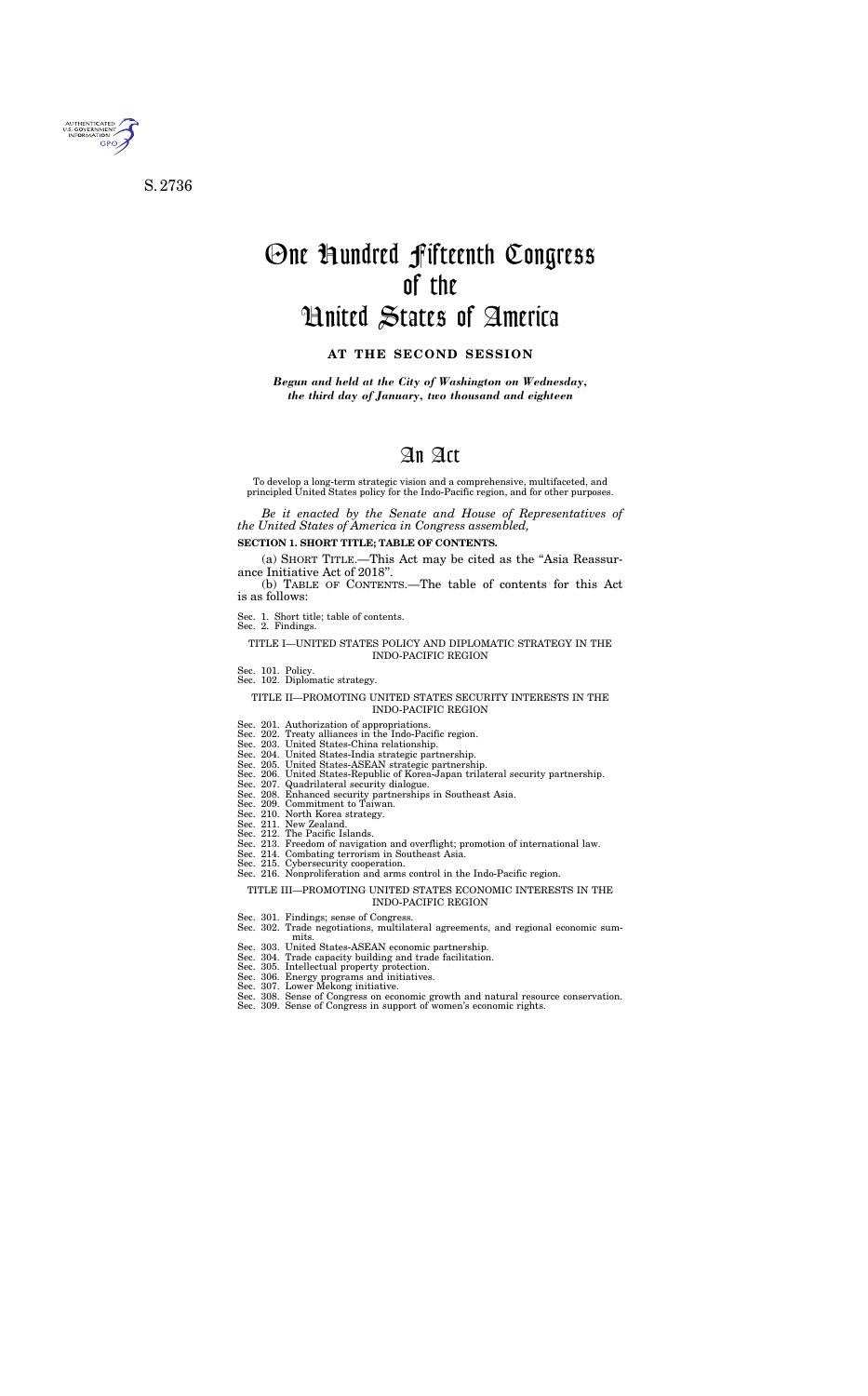

S. 2736

# One Hundred Fifteenth Congress of the United States of America

## **AT THE SECOND SESSION**

*Begun and held at the City of Washington on Wednesday, the third day of January, two thousand and eighteen* 

## An Act

To develop a long-term strategic vision and a comprehensive, multifaceted, and principled United States policy for the Indo-Pacific region, and for other purposes.

(a) SHORT TITLE.—This Act may be cited as the "Asia Reassurance Initiative Act of 2018''.

*Be it enacted by the Senate and House of Representatives of the United States of America in Congress assembled,* 

### **SECTION 1. SHORT TITLE; TABLE OF CONTENTS.**

(b) TABLE OF CONTENTS.—The table of contents for this Act is as follows:

Sec. 1. Short title; table of contents.

Sec. 2. Findings.

#### TITLE I—UNITED STATES POLICY AND DIPLOMATIC STRATEGY IN THE INDO-PACIFIC REGION

- Sec. 101. Policy.
- Sec. 102. Diplomatic strategy.

## TITLE II—PROMOTING UNITED STATES SECURITY INTERESTS IN THE INDO-PACIFIC REGION

- Sec. 201. Authorization of appropriations.
- Sec. 202. Treaty alliances in the Indo-Pacific region.
- Sec. 203. United States-China relationship.
- Sec. 204. United States-India strategic partnership.
- Sec. 205. United States-ASEAN strategic partnership. Sec. 206. United States-Republic of Korea-Japan trilateral security partnership.
- Sec. 207. Quadrilateral security dialogue.
- Sec. 208. Enhanced security partnerships in Southeast Asia.
- Sec. 209. Commitment to Taiwan.
- Sec. 210. North Korea strategy.
- Sec. 211. New Zealand.
- Sec. 212. The Pacific Islands.
- Sec. 213. Freedom of navigation and overflight; promotion of international law.
- Sec. 214. Combating terrorism in Southeast Asia.
- Sec. 215. Cybersecurity cooperation.
- Sec. 216. Nonproliferation and arms control in the Indo-Pacific region.

#### TITLE III—PROMOTING UNITED STATES ECONOMIC INTERESTS IN THE INDO-PACIFIC REGION

- Sec. 301. Findings; sense of Congress.
- Sec. 302. Trade negotiations, multilateral agreements, and regional economic summits
- Sec. 303. United States-ASEAN economic partnership.
- Sec. 304. Trade capacity building and trade facilitation.
- Sec. 305. Intellectual property protection.
- Sec. 306. Energy programs and initiatives.
- Sec. 307. Lower Mekong initiative.
- Sec. 308. Sense of Congress on economic growth and natural resource conservation.
- Sec. 309. Sense of Congress in support of women's economic rights.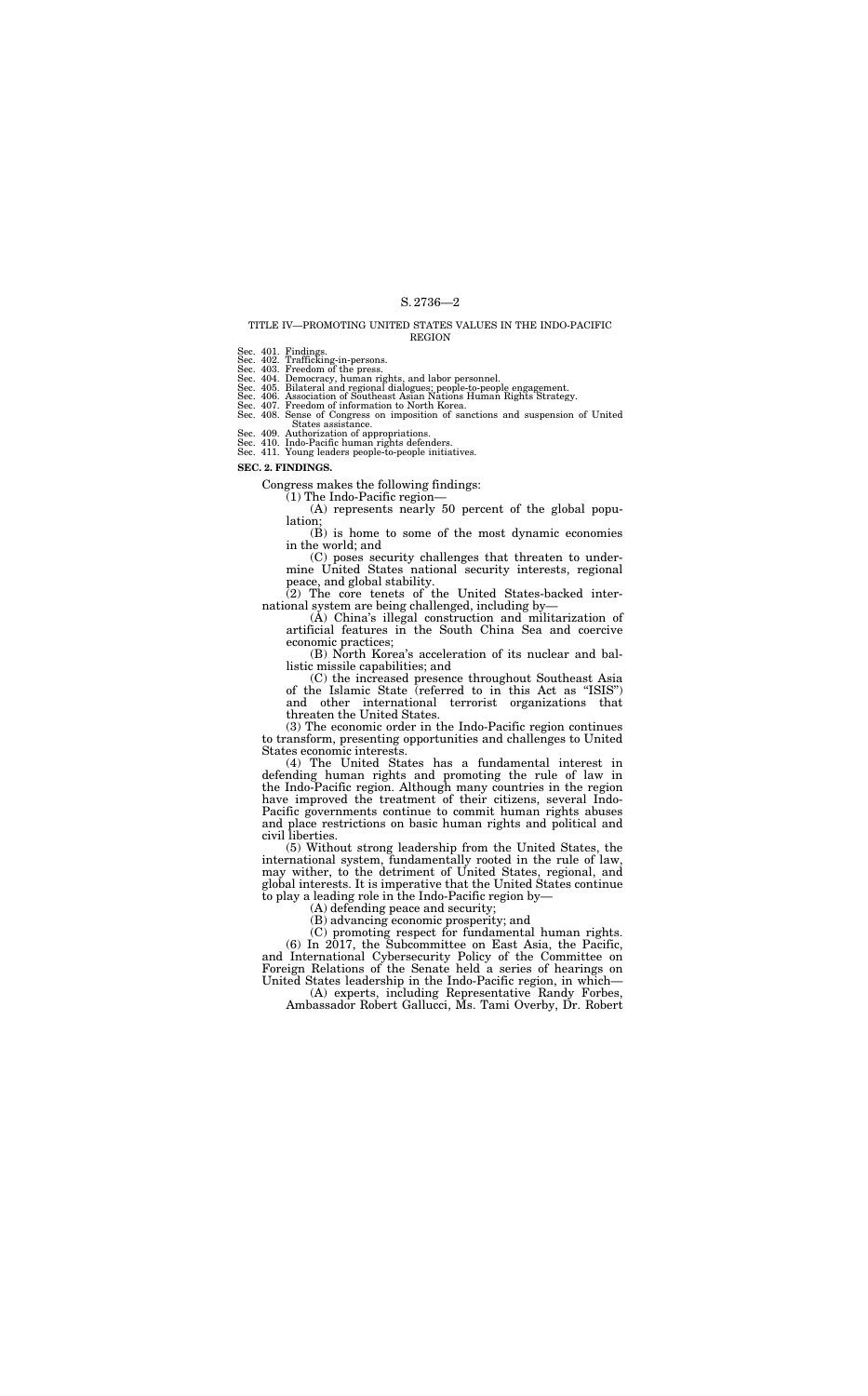#### TITLE IV—PROMOTING UNITED STATES VALUES IN THE INDO-PACIFIC REGION

Sec. 401. Findings. Sec. 402. Trafficking-in-persons. Sec. 403. Freedom of the press. Sec. 404. Democracy, human rights, and labor personnel.

Sec. 405. Bilateral and regional dialogues; people-to-people engagement.<br>Sec. 406. Association of Southeast Asian Nations Human Rights Strategy.<br>Sec. 407. Freedom of information to North Korea.<br>Sec. 408. Sense of Congress States assistance.

Sec. 409. Authorization of appropriations. Sec. 410. Indo-Pacific human rights defenders. Sec. 411. Young leaders people-to-people initiatives.

**SEC. 2. FINDINGS.** 

Congress makes the following findings:

(1) The Indo-Pacific region—

(A) represents nearly 50 percent of the global population;

(B) is home to some of the most dynamic economies in the world; and

(C) poses security challenges that threaten to undermine United States national security interests, regional peace, and global stability.

(2) The core tenets of the United States-backed international system are being challenged, including by—

(A) China's illegal construction and militarization of artificial features in the South China Sea and coercive economic practices;

(B) North Korea's acceleration of its nuclear and ballistic missile capabilities; and

(C) the increased presence throughout Southeast Asia of the Islamic State (referred to in this Act as ''ISIS'') and other international terrorist organizations that threaten the United States.

(3) The economic order in the Indo-Pacific region continues to transform, presenting opportunities and challenges to United States economic interests.

(4) The United States has a fundamental interest in defending human rights and promoting the rule of law in the Indo-Pacific region. Although many countries in the region have improved the treatment of their citizens, several Indo-Pacific governments continue to commit human rights abuses and place restrictions on basic human rights and political and civil liberties.

(5) Without strong leadership from the United States, the international system, fundamentally rooted in the rule of law, may wither, to the detriment of United States, regional, and global interests. It is imperative that the United States continue to play a leading role in the Indo-Pacific region by—

(A) defending peace and security;

(B) advancing economic prosperity; and

(C) promoting respect for fundamental human rights.

(6) In 2017, the Subcommittee on East Asia, the Pacific, and International Cybersecurity Policy of the Committee on Foreign Relations of the Senate held a series of hearings on United States leadership in the Indo-Pacific region, in which—

(A) experts, including Representative Randy Forbes, Ambassador Robert Gallucci, Ms. Tami Overby, Dr. Robert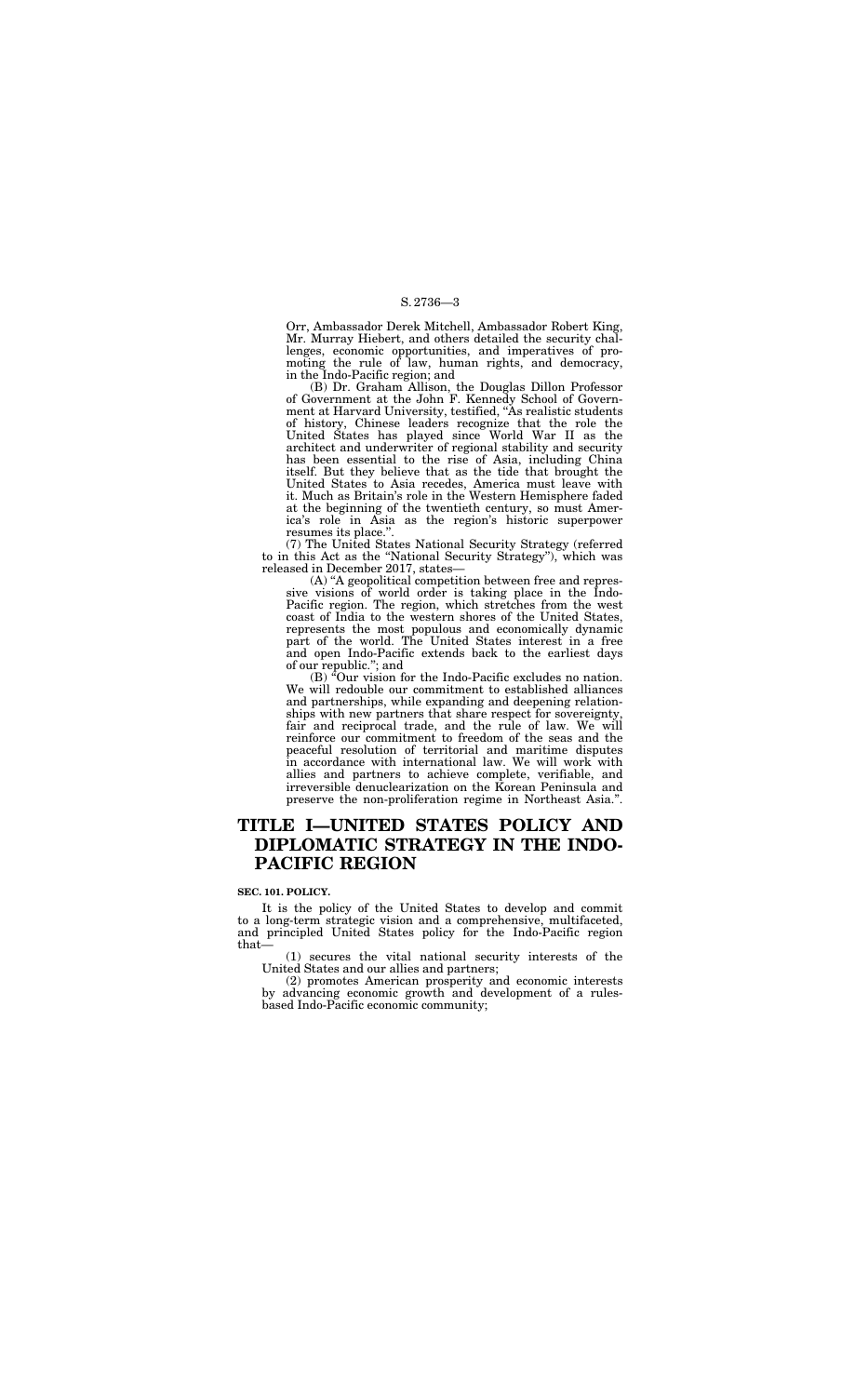Orr, Ambassador Derek Mitchell, Ambassador Robert King, Mr. Murray Hiebert, and others detailed the security challenges, economic opportunities, and imperatives of promoting the rule of law, human rights, and democracy, in the Indo-Pacific region; and

(B) Dr. Graham Allison, the Douglas Dillon Professor of Government at the John F. Kennedy School of Government at Harvard University, testified, "As realistic students of history, Chinese leaders recognize that the role the United States has played since World War II as the architect and underwriter of regional stability and security has been essential to the rise of Asia, including China itself. But they believe that as the tide that brought the United States to Asia recedes, America must leave with it. Much as Britain's role in the Western Hemisphere faded at the beginning of the twentieth century, so must America's role in Asia as the region's historic superpower resumes its place.''.

(7) The United States National Security Strategy (referred to in this Act as the ''National Security Strategy''), which was released in December 2017, states—

(B)  ${}^{\acute{a}}$ Our vision for the Indo-Pacific excludes no nation. We will redouble our commitment to established alliances and partnerships, while expanding and deepening relationships with new partners that share respect for sovereignty, fair and reciprocal trade, and the rule of law. We will reinforce our commitment to freedom of the seas and the peaceful resolution of territorial and maritime disputes in accordance with international law. We will work with allies and partners to achieve complete, verifiable, and irreversible denuclearization on the Korean Peninsula and preserve the non-proliferation regime in Northeast Asia.''.

(A) ''A geopolitical competition between free and repressive visions of world order is taking place in the Indo-Pacific region. The region, which stretches from the west coast of India to the western shores of the United States, represents the most populous and economically dynamic part of the world. The United States interest in a free and open Indo-Pacific extends back to the earliest days of our republic.''; and

## **TITLE I—UNITED STATES POLICY AND DIPLOMATIC STRATEGY IN THE INDO-PACIFIC REGION**

#### **SEC. 101. POLICY.**

It is the policy of the United States to develop and commit to a long-term strategic vision and a comprehensive, multifaceted, and principled United States policy for the Indo-Pacific region that—

(1) secures the vital national security interests of the United States and our allies and partners;

(2) promotes American prosperity and economic interests by advancing economic growth and development of a rulesbased Indo-Pacific economic community;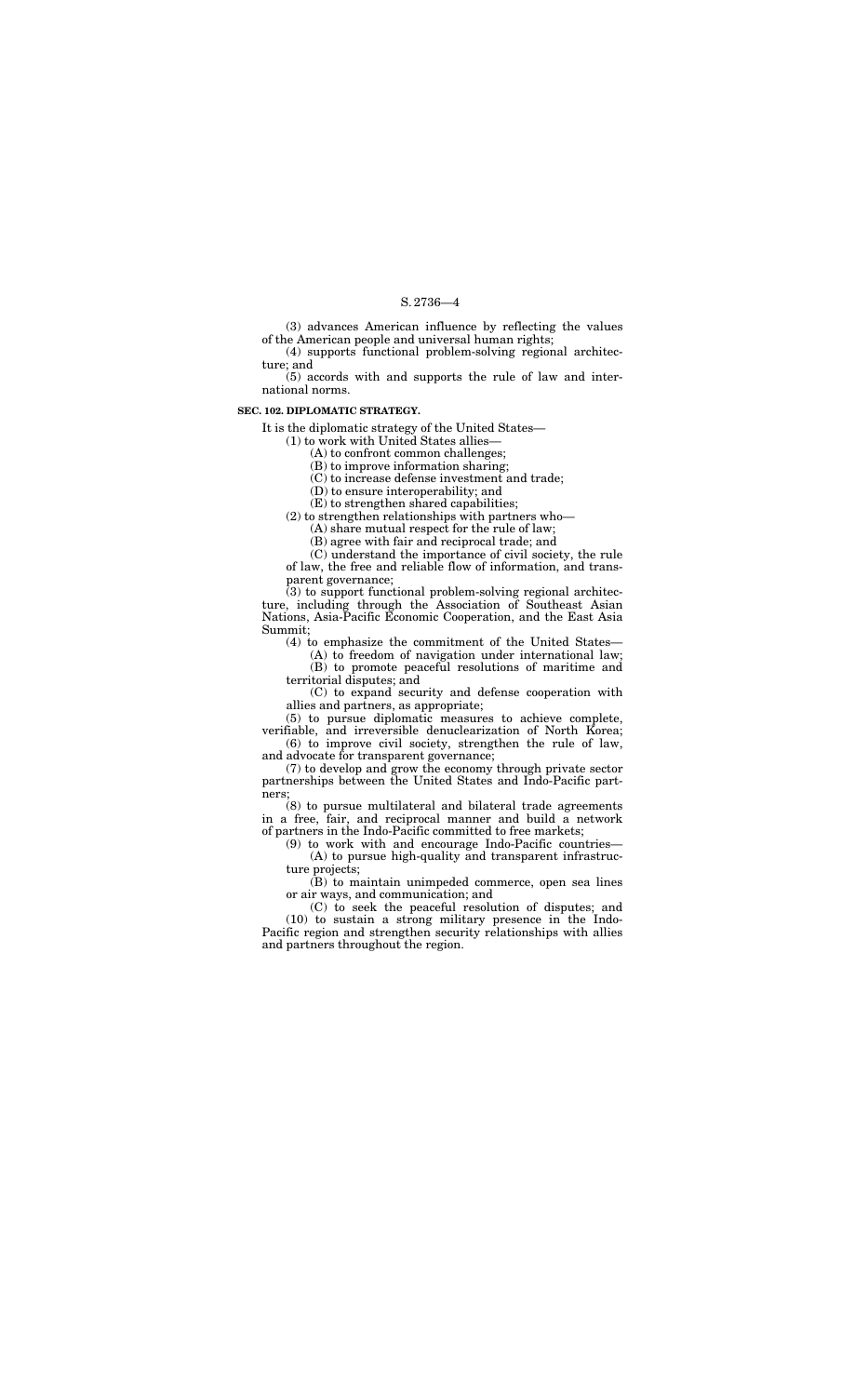(3) advances American influence by reflecting the values of the American people and universal human rights;

(4) supports functional problem-solving regional architecture; and

(5) accords with and supports the rule of law and international norms.

## **SEC. 102. DIPLOMATIC STRATEGY.**

It is the diplomatic strategy of the United States—

(1) to work with United States allies—

(A) to confront common challenges;

(B) to improve information sharing;

(C) to increase defense investment and trade;

(D) to ensure interoperability; and

 $(3)$  to support functional problem-solving regional architecture, including through the Association of Southeast Asian Nations, Asia-Pacific Economic Cooperation, and the East Asia Summit;

(E) to strengthen shared capabilities;

(2) to strengthen relationships with partners who—

(A) share mutual respect for the rule of law;

(B) agree with fair and reciprocal trade; and

(C) understand the importance of civil society, the rule of law, the free and reliable flow of information, and transparent governance;

(4) to emphasize the commitment of the United States—

(A) to freedom of navigation under international law; (B) to promote peaceful resolutions of maritime and territorial disputes; and

(C) to expand security and defense cooperation with allies and partners, as appropriate;

(5) to pursue diplomatic measures to achieve complete, verifiable, and irreversible denuclearization of North Korea;

(6) to improve civil society, strengthen the rule of law, and advocate for transparent governance;

(7) to develop and grow the economy through private sector partnerships between the United States and Indo-Pacific partners;

(8) to pursue multilateral and bilateral trade agreements in a free, fair, and reciprocal manner and build a network of partners in the Indo-Pacific committed to free markets;

(9) to work with and encourage Indo-Pacific countries— (A) to pursue high-quality and transparent infrastructure projects;

(B) to maintain unimpeded commerce, open sea lines or air ways, and communication; and

(C) to seek the peaceful resolution of disputes; and (10) to sustain a strong military presence in the Indo-Pacific region and strengthen security relationships with allies and partners throughout the region.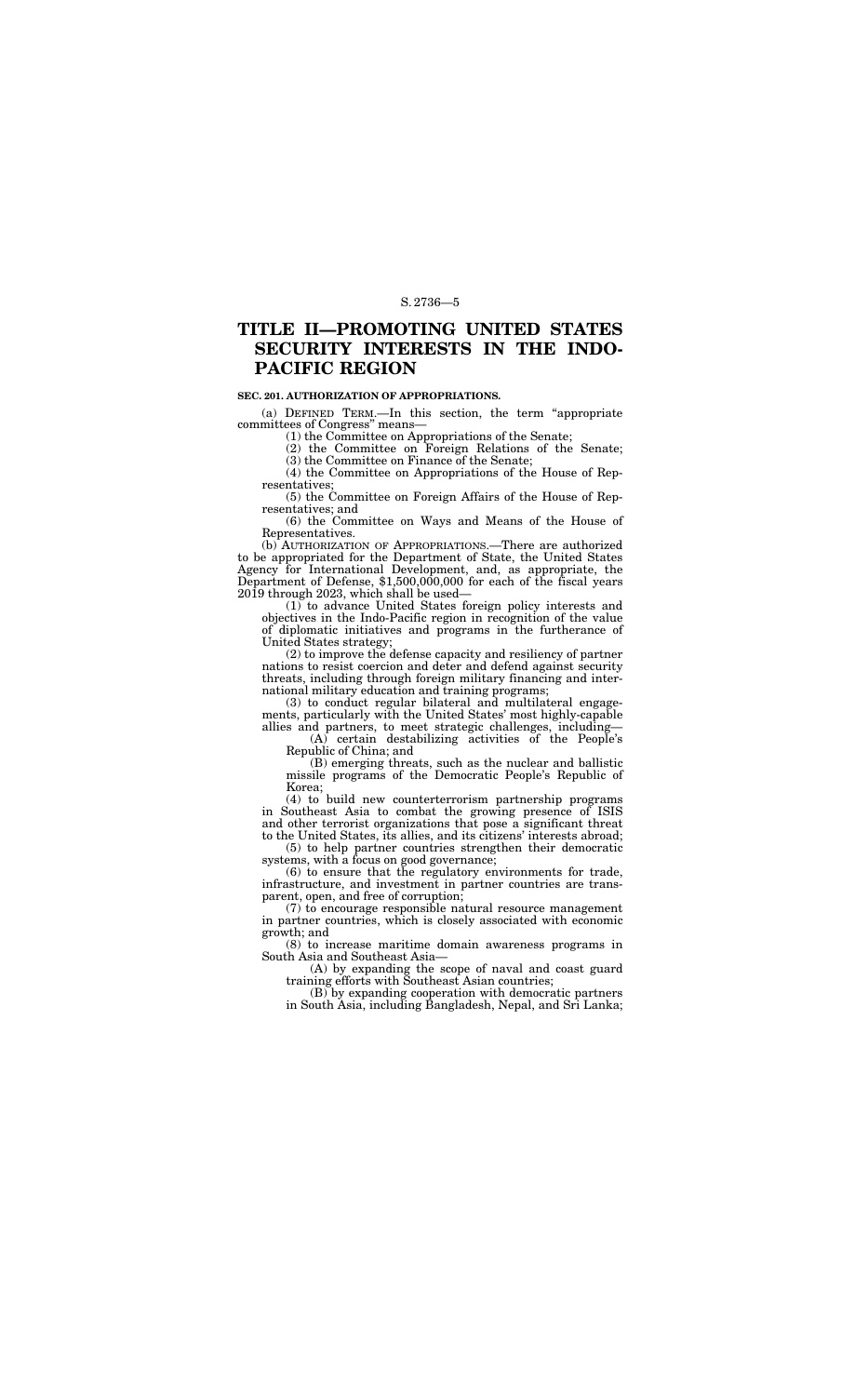## **TITLE II—PROMOTING UNITED STATES SECURITY INTERESTS IN THE INDO-PACIFIC REGION**

#### **SEC. 201. AUTHORIZATION OF APPROPRIATIONS.**

(a) DEFINED TERM.—In this section, the term ''appropriate committees of Congress'' means—

(1) the Committee on Appropriations of the Senate;

(2) the Committee on Foreign Relations of the Senate;

(3) the Committee on Finance of the Senate;

(4) the Committee on Appropriations of the House of Representatives;

(5) the Committee on Foreign Affairs of the House of Representatives; and

(6) the Committee on Ways and Means of the House of Representatives.

(b) AUTHORIZATION OF APPROPRIATIONS.—There are authorized to be appropriated for the Department of State, the United States Agency for International Development, and, as appropriate, the Department of Defense, \$1,500,000,000 for each of the fiscal years 2019 through 2023, which shall be used—

(1) to advance United States foreign policy interests and objectives in the Indo-Pacific region in recognition of the value of diplomatic initiatives and programs in the furtherance of United States strategy;

(2) to improve the defense capacity and resiliency of partner nations to resist coercion and deter and defend against security threats, including through foreign military financing and international military education and training programs;

(3) to conduct regular bilateral and multilateral engagements, particularly with the United States' most highly-capable allies and partners, to meet strategic challenges, including—

(A) certain destabilizing activities of the People's Republic of China; and

(B) emerging threats, such as the nuclear and ballistic missile programs of the Democratic People's Republic of Korea;

(4) to build new counterterrorism partnership programs in Southeast Asia to combat the growing presence of ISIS and other terrorist organizations that pose a significant threat to the United States, its allies, and its citizens' interests abroad;

(5) to help partner countries strengthen their democratic systems, with a focus on good governance;

(6) to ensure that the regulatory environments for trade, infrastructure, and investment in partner countries are transparent, open, and free of corruption;

(7) to encourage responsible natural resource management in partner countries, which is closely associated with economic growth; and

(8) to increase maritime domain awareness programs in South Asia and Southeast Asia—

(A) by expanding the scope of naval and coast guard training efforts with Southeast Asian countries;

(B) by expanding cooperation with democratic partners in South Asia, including Bangladesh, Nepal, and Sri Lanka;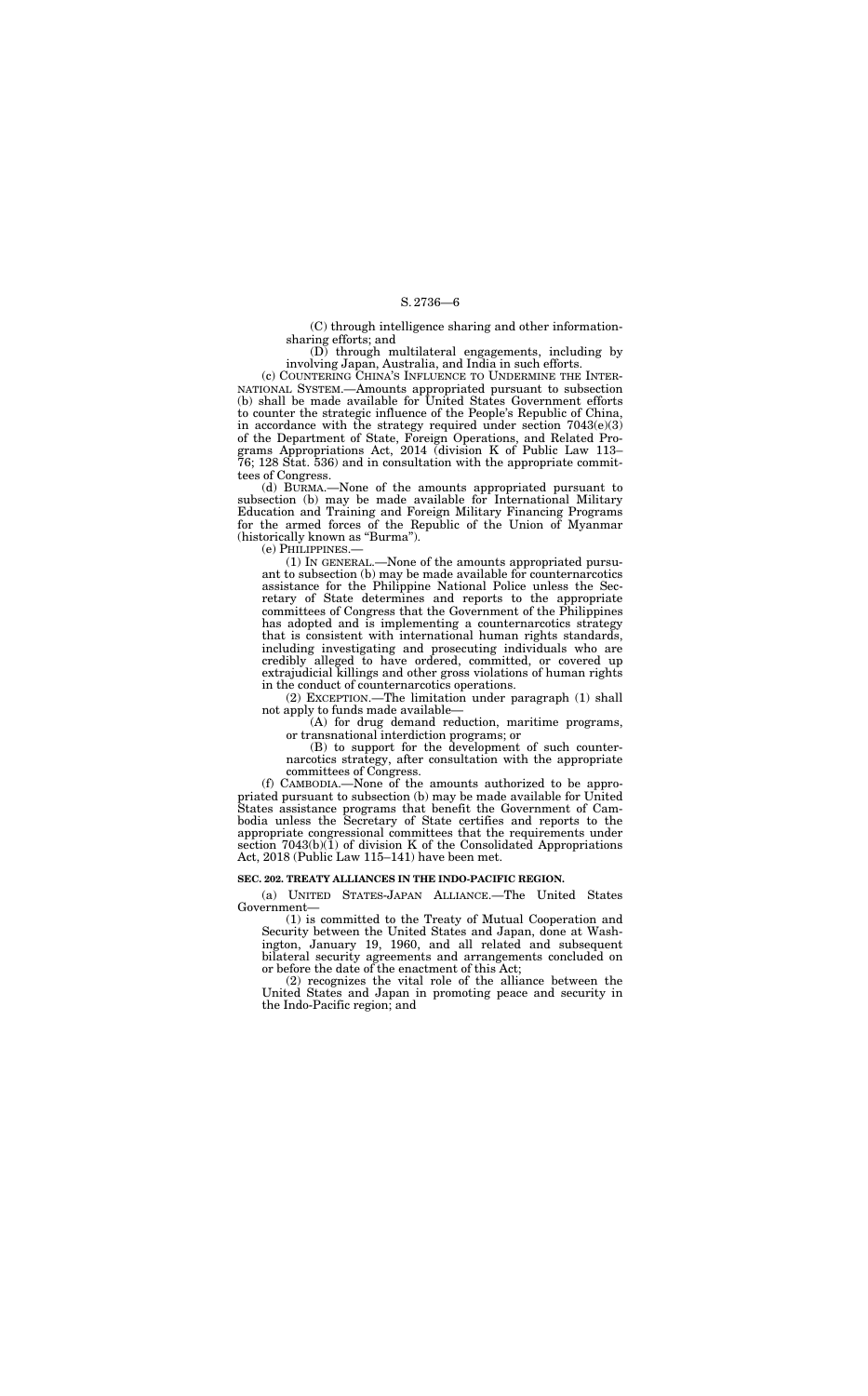(C) through intelligence sharing and other informationsharing efforts; and

(D) through multilateral engagements, including by involving Japan, Australia, and India in such efforts.

(d) BURMA.—None of the amounts appropriated pursuant to subsection (b) may be made available for International Military Education and Training and Foreign Military Financing Programs for the armed forces of the Republic of the Union of Myanmar (historically known as "Burma").

(c) COUNTERING CHINA'S INFLUENCE TO UNDERMINE THE INTER-NATIONAL SYSTEM.—Amounts appropriated pursuant to subsection (b) shall be made available for United States Government efforts to counter the strategic influence of the People's Republic of China, in accordance with the strategy required under section  $7043(e)(3)$ of the Department of State, Foreign Operations, and Related Programs Appropriations Act, 2014 (division K of Public Law 113– 76; 128 Stat. 536) and in consultation with the appropriate committees of Congress.

(e) PHILIPPINES.—

(1) IN GENERAL.—None of the amounts appropriated pursuant to subsection (b) may be made available for counternarcotics assistance for the Philippine National Police unless the Secretary of State determines and reports to the appropriate committees of Congress that the Government of the Philippines has adopted and is implementing a counternarcotics strategy that is consistent with international human rights standards, including investigating and prosecuting individuals who are credibly alleged to have ordered, committed, or covered up extrajudicial killings and other gross violations of human rights in the conduct of counternarcotics operations.

(2) EXCEPTION.—The limitation under paragraph (1) shall not apply to funds made available—

(A) for drug demand reduction, maritime programs, or transnational interdiction programs; or

(B) to support for the development of such counternarcotics strategy, after consultation with the appropriate committees of Congress.

(f) CAMBODIA.—None of the amounts authorized to be appropriated pursuant to subsection (b) may be made available for United States assistance programs that benefit the Government of Cambodia unless the Secretary of State certifies and reports to the appropriate congressional committees that the requirements under section  $7043(b)(1)$  of division K of the Consolidated Appropriations Act, 2018 (Public Law 115–141) have been met.

#### **SEC. 202. TREATY ALLIANCES IN THE INDO-PACIFIC REGION.**

(a) UNITED STATES-JAPAN ALLIANCE.—The United States Government—

(1) is committed to the Treaty of Mutual Cooperation and Security between the United States and Japan, done at Washington, January 19, 1960, and all related and subsequent bilateral security agreements and arrangements concluded on or before the date of the enactment of this Act;

(2) recognizes the vital role of the alliance between the United States and Japan in promoting peace and security in the Indo-Pacific region; and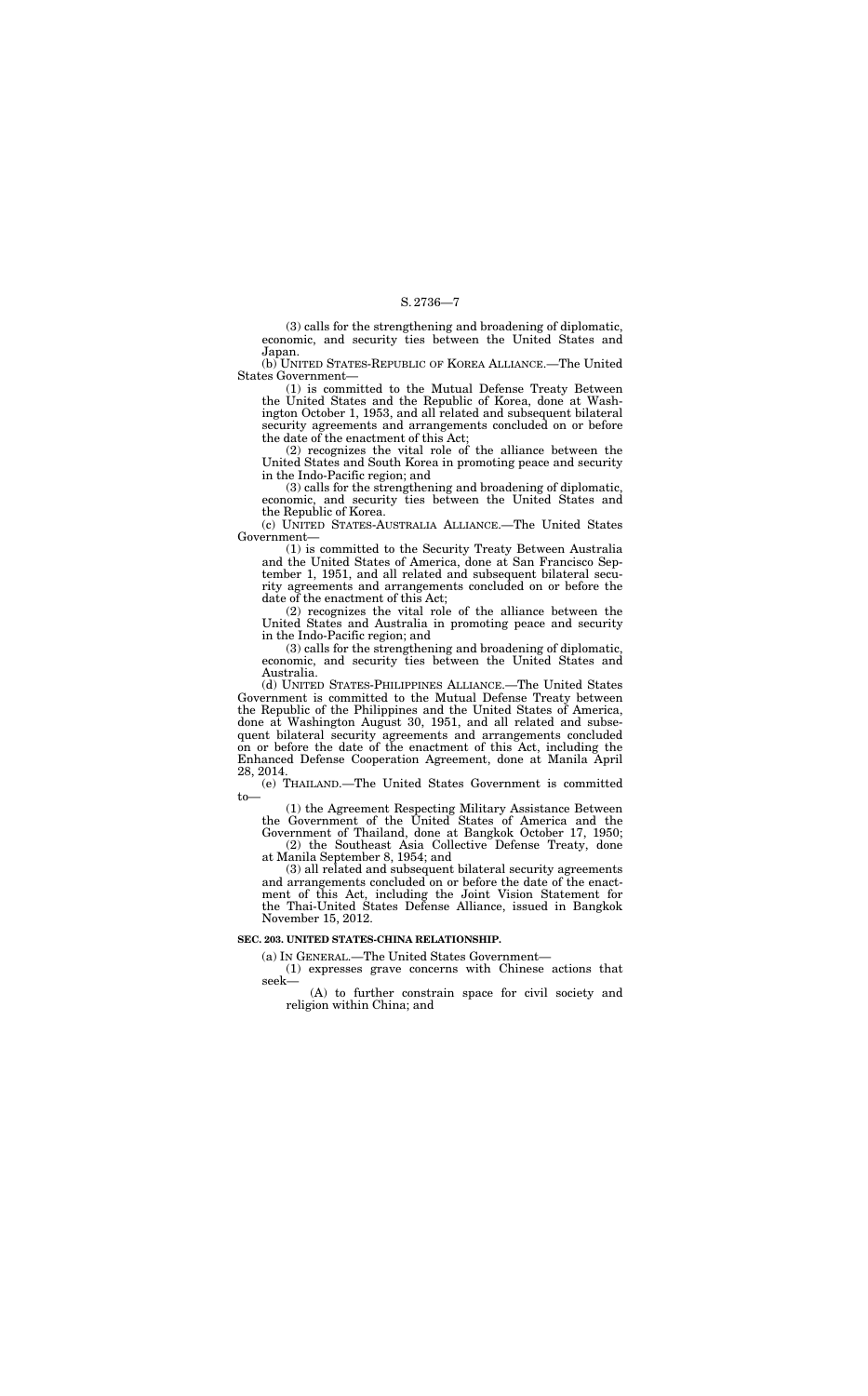(3) calls for the strengthening and broadening of diplomatic, economic, and security ties between the United States and Japan.

(b) UNITED STATES-REPUBLIC OF KOREA ALLIANCE.—The United States Government—

(1) is committed to the Mutual Defense Treaty Between the United States and the Republic of Korea, done at Washington October 1, 1953, and all related and subsequent bilateral security agreements and arrangements concluded on or before the date of the enactment of this Act;

(2) recognizes the vital role of the alliance between the United States and South Korea in promoting peace and security in the Indo-Pacific region; and

(3) calls for the strengthening and broadening of diplomatic, economic, and security ties between the United States and the Republic of Korea.

(c) UNITED STATES-AUSTRALIA ALLIANCE.—The United States Government—

(1) is committed to the Security Treaty Between Australia and the United States of America, done at San Francisco September 1, 1951, and all related and subsequent bilateral security agreements and arrangements concluded on or before the date of the enactment of this Act;

at Manila September 8, 1954; and (3) all related and subsequent bilateral security agreements

(2) recognizes the vital role of the alliance between the United States and Australia in promoting peace and security in the Indo-Pacific region; and

(3) calls for the strengthening and broadening of diplomatic, economic, and security ties between the United States and Australia.

(d) UNITED STATES-PHILIPPINES ALLIANCE.—The United States Government is committed to the Mutual Defense Treaty between the Republic of the Philippines and the United States of America, done at Washington August 30, 1951, and all related and subsequent bilateral security agreements and arrangements concluded on or before the date of the enactment of this Act, including the Enhanced Defense Cooperation Agreement, done at Manila April 28, 2014.

(e) THAILAND.—The United States Government is committed to—

(1) the Agreement Respecting Military Assistance Between the Government of the United States of America and the Government of Thailand, done at Bangkok October 17, 1950; (2) the Southeast Asia Collective Defense Treaty, done

and arrangements concluded on or before the date of the enactment of this Act, including the Joint Vision Statement for the Thai-United States Defense Alliance, issued in Bangkok November 15, 2012.

## **SEC. 203. UNITED STATES-CHINA RELATIONSHIP.**

(a) IN GENERAL.—The United States Government—

(1) expresses grave concerns with Chinese actions that seek—

(A) to further constrain space for civil society and religion within China; and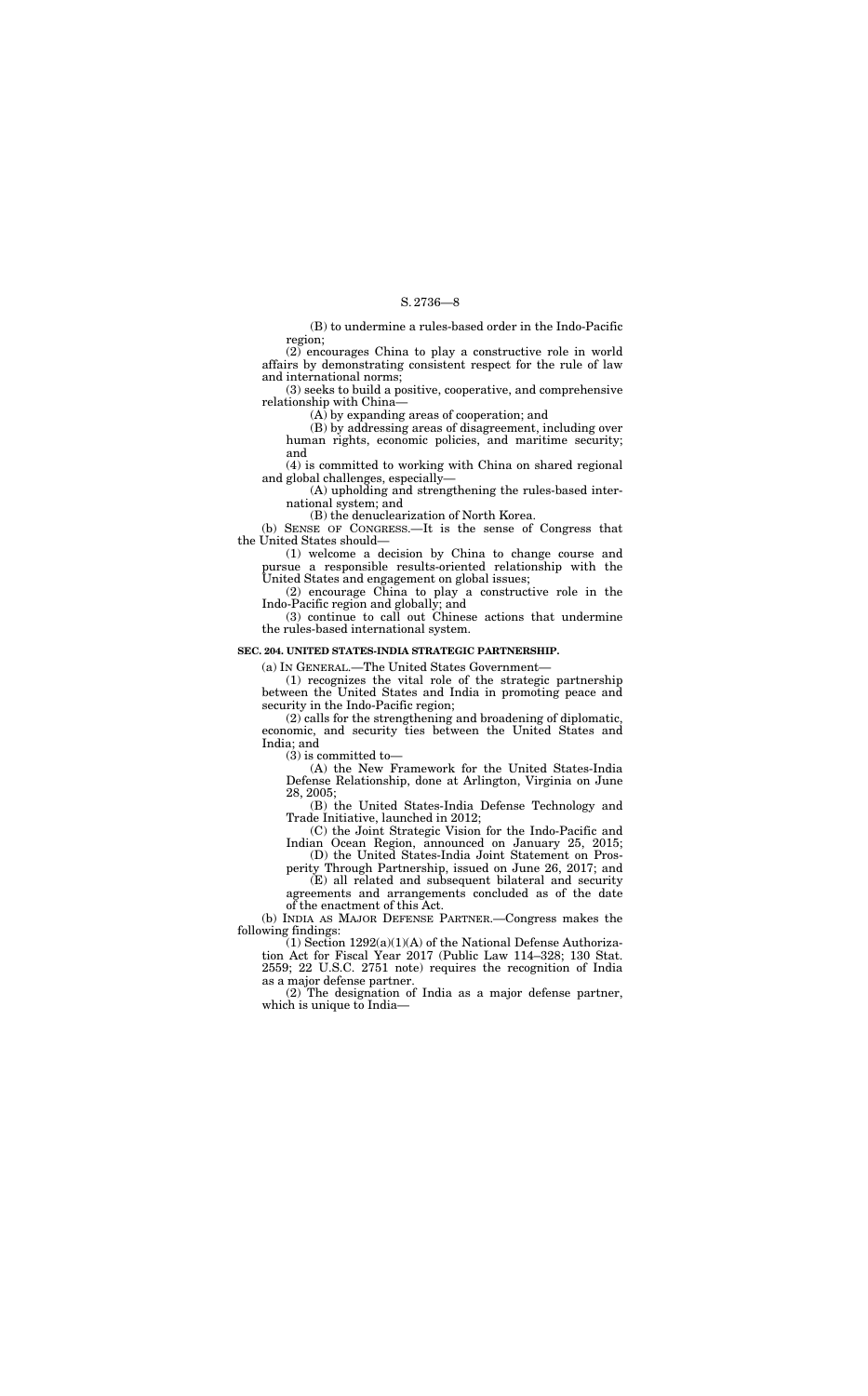(B) to undermine a rules-based order in the Indo-Pacific region;

(2) encourages China to play a constructive role in world affairs by demonstrating consistent respect for the rule of law and international norms;

(3) seeks to build a positive, cooperative, and comprehensive relationship with China—

(A) by expanding areas of cooperation; and

(B) by addressing areas of disagreement, including over human rights, economic policies, and maritime security; and

(4) is committed to working with China on shared regional and global challenges, especially—

(A) upholding and strengthening the rules-based international system; and

(B) the denuclearization of North Korea.

(b) SENSE OF CONGRESS.—It is the sense of Congress that the United States should—

(1) welcome a decision by China to change course and pursue a responsible results-oriented relationship with the United States and engagement on global issues;

(2) encourage China to play a constructive role in the Indo-Pacific region and globally; and

(3) continue to call out Chinese actions that undermine the rules-based international system.

#### **SEC. 204. UNITED STATES-INDIA STRATEGIC PARTNERSHIP.**

 $(1)$  Section 1292(a)(1)(A) of the National Defense Authorization Act for Fiscal Year 2017 (Public Law 114–328; 130 Stat. 2559; 22 U.S.C. 2751 note) requires the recognition of India as a major defense partner.

(a) IN GENERAL.—The United States Government—

(1) recognizes the vital role of the strategic partnership between the United States and India in promoting peace and security in the Indo-Pacific region;

(2) calls for the strengthening and broadening of diplomatic, economic, and security ties between the United States and India; and

(3) is committed to—

(A) the New Framework for the United States-India Defense Relationship, done at Arlington, Virginia on June 28, 2005;

(B) the United States-India Defense Technology and Trade Initiative, launched in 2012;

(C) the Joint Strategic Vision for the Indo-Pacific and Indian Ocean Region, announced on January 25, 2015;

(D) the United States-India Joint Statement on Prosperity Through Partnership, issued on June 26, 2017; and

(E) all related and subsequent bilateral and security agreements and arrangements concluded as of the date of the enactment of this Act.

(b) INDIA AS MAJOR DEFENSE PARTNER.—Congress makes the following findings:

(2) The designation of India as a major defense partner, which is unique to India—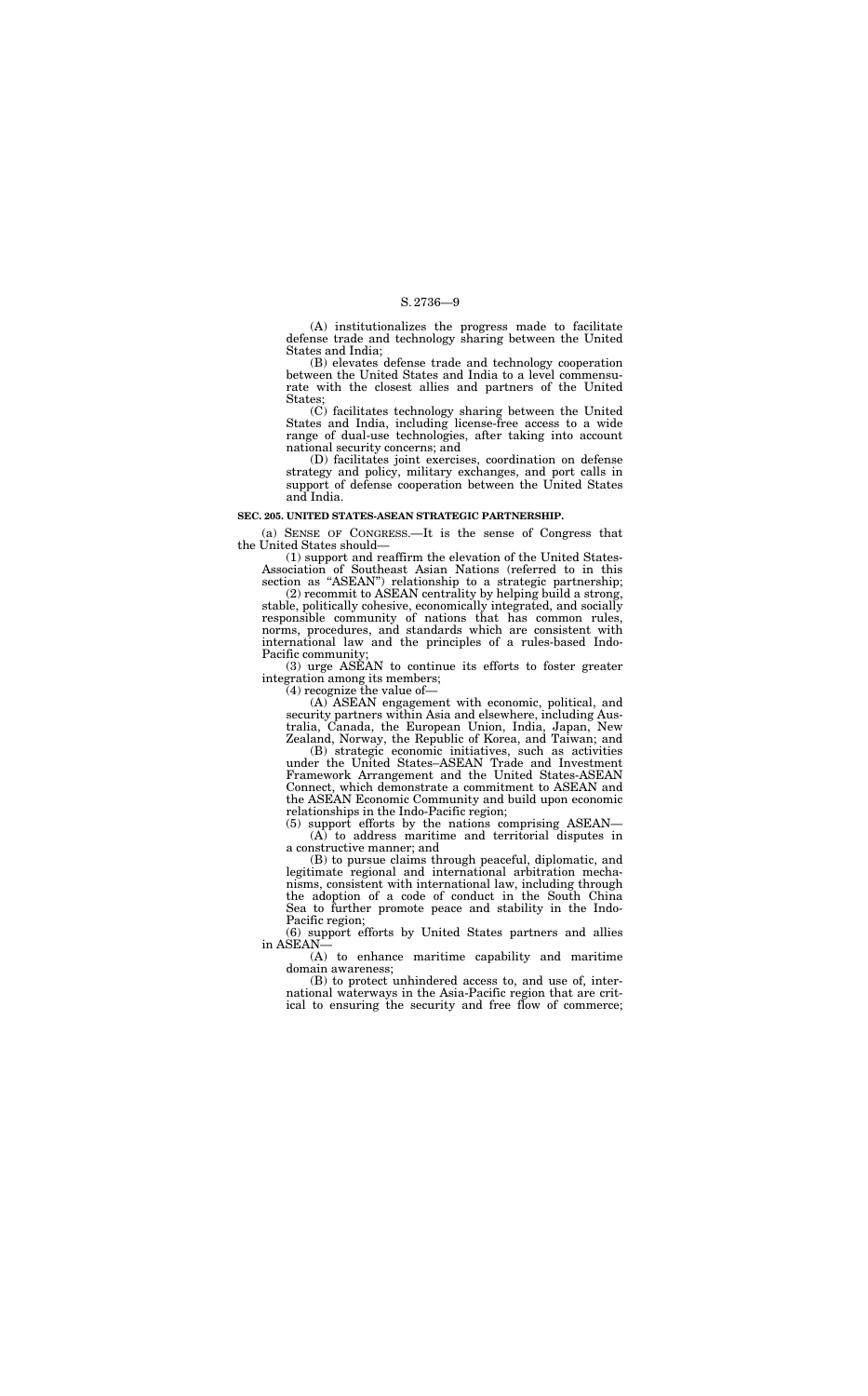(A) institutionalizes the progress made to facilitate defense trade and technology sharing between the United States and India;

(B) elevates defense trade and technology cooperation between the United States and India to a level commensurate with the closest allies and partners of the United States;

(C) facilitates technology sharing between the United States and India, including license-free access to a wide range of dual-use technologies, after taking into account national security concerns; and

(1) support and reaffirm the elevation of the United States-Association of Southeast Asian Nations (referred to in this section as "ASEAN") relationship to a strategic partnership;

(D) facilitates joint exercises, coordination on defense strategy and policy, military exchanges, and port calls in support of defense cooperation between the United States and India.

#### **SEC. 205. UNITED STATES-ASEAN STRATEGIC PARTNERSHIP.**

(a) SENSE OF CONGRESS.—It is the sense of Congress that the United States should—

(2) recommit to ASEAN centrality by helping build a strong, stable, politically cohesive, economically integrated, and socially responsible community of nations that has common rules, norms, procedures, and standards which are consistent with international law and the principles of a rules-based Indo-Pacific community;

(3) urge ASEAN to continue its efforts to foster greater integration among its members;

(4) recognize the value of—

(A) ASEAN engagement with economic, political, and security partners within Asia and elsewhere, including Australia, Canada, the European Union, India, Japan, New Zealand, Norway, the Republic of Korea, and Taiwan; and

(B) strategic economic initiatives, such as activities under the United States–ASEAN Trade and Investment Framework Arrangement and the United States-ASEAN Connect, which demonstrate a commitment to ASEAN and the ASEAN Economic Community and build upon economic relationships in the Indo-Pacific region;

(5) support efforts by the nations comprising ASEAN— (A) to address maritime and territorial disputes in a constructive manner; and

(B) to pursue claims through peaceful, diplomatic, and legitimate regional and international arbitration mechanisms, consistent with international law, including through the adoption of a code of conduct in the South China Sea to further promote peace and stability in the Indo-Pacific region;

(6) support efforts by United States partners and allies in ASEAN—

(A) to enhance maritime capability and maritime domain awareness;

(B) to protect unhindered access to, and use of, international waterways in the Asia-Pacific region that are critical to ensuring the security and free flow of commerce;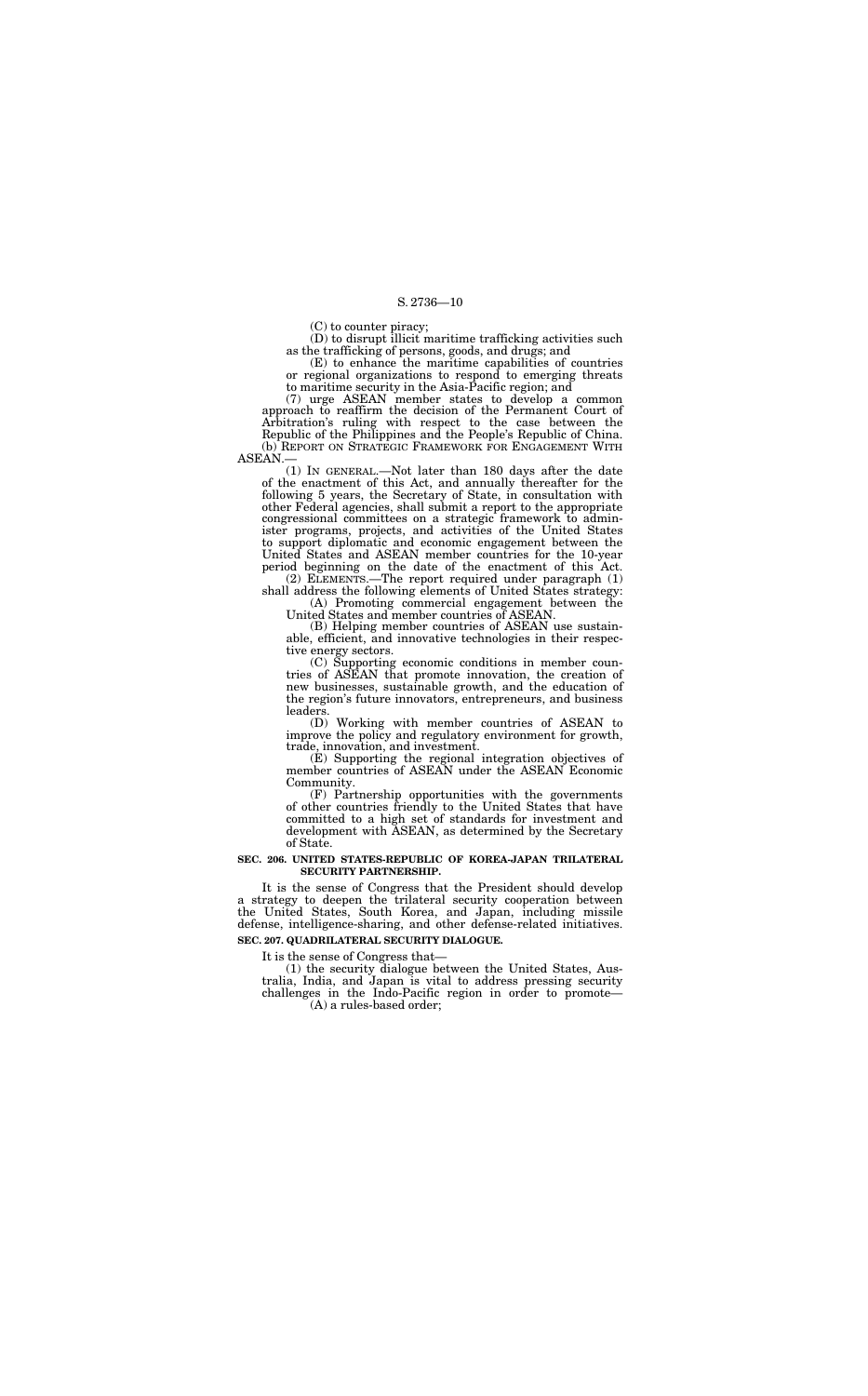(C) to counter piracy;

(D) to disrupt illicit maritime trafficking activities such as the trafficking of persons, goods, and drugs; and

(E) to enhance the maritime capabilities of countries or regional organizations to respond to emerging threats to maritime security in the Asia-Pacific region; and

(7) urge ASEAN member states to develop a common approach to reaffirm the decision of the Permanent Court of Arbitration's ruling with respect to the case between the Republic of the Philippines and the People's Republic of China. (b) REPORT ON STRATEGIC FRAMEWORK FOR ENGAGEMENT WITH

ASEAN.—

(1) IN GENERAL.—Not later than 180 days after the date of the enactment of this Act, and annually thereafter for the following 5 years, the Secretary of State, in consultation with other Federal agencies, shall submit a report to the appropriate congressional committees on a strategic framework to administer programs, projects, and activities of the United States to support diplomatic and economic engagement between the United States and ASEAN member countries for the 10-year period beginning on the date of the enactment of this Act.

(2) ELEMENTS.—The report required under paragraph (1) shall address the following elements of United States strategy:

(A) Promoting commercial engagement between the United States and member countries of ASEAN.

(B) Helping member countries of ASEAN use sustainable, efficient, and innovative technologies in their respective energy sectors.

(C) Supporting economic conditions in member countries of ASEAN that promote innovation, the creation of new businesses, sustainable growth, and the education of the region's future innovators, entrepreneurs, and business leaders.

(D) Working with member countries of ASEAN to improve the policy and regulatory environment for growth, trade, innovation, and investment.

(E) Supporting the regional integration objectives of member countries of ASEAN under the ASEAN Economic Community.

(F) Partnership opportunities with the governments of other countries friendly to the United States that have committed to a high set of standards for investment and development with ASEAN, as determined by the Secretary of State.

#### **SEC. 206. UNITED STATES-REPUBLIC OF KOREA-JAPAN TRILATERAL SECURITY PARTNERSHIP.**

It is the sense of Congress that the President should develop a strategy to deepen the trilateral security cooperation between the United States, South Korea, and Japan, including missile defense, intelligence-sharing, and other defense-related initiatives.

## **SEC. 207. QUADRILATERAL SECURITY DIALOGUE.**

It is the sense of Congress that—

(1) the security dialogue between the United States, Australia, India, and Japan is vital to address pressing security challenges in the Indo-Pacific region in order to promote—

(A) a rules-based order;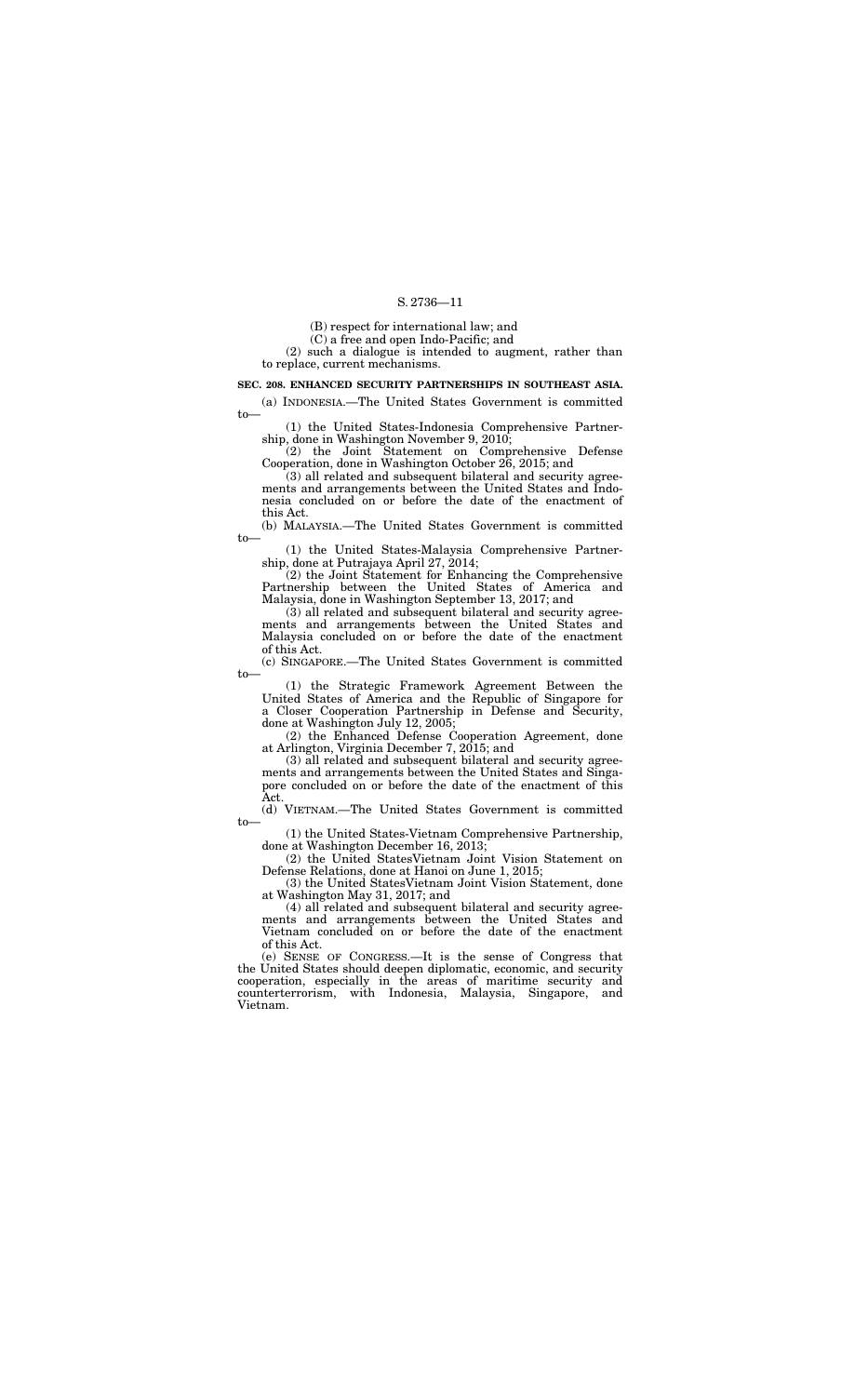(B) respect for international law; and

(C) a free and open Indo-Pacific; and

(2) such a dialogue is intended to augment, rather than to replace, current mechanisms.

#### **SEC. 208. ENHANCED SECURITY PARTNERSHIPS IN SOUTHEAST ASIA.**

(a) INDONESIA.—The United States Government is committed to—

(1) the United States-Indonesia Comprehensive Partnership, done in Washington November 9, 2010;

(2) the Joint Statement on Comprehensive Defense Cooperation, done in Washington October 26, 2015; and

(3) all related and subsequent bilateral and security agreements and arrangements between the United States and Indonesia concluded on or before the date of the enactment of this Act.

(b) MALAYSIA.—The United States Government is committed to—

(1) the United States-Malaysia Comprehensive Partnership, done at Putrajaya April 27, 2014;

(2) the Joint Statement for Enhancing the Comprehensive Partnership between the United States of America and Malaysia, done in Washington September 13, 2017; and

(3) all related and subsequent bilateral and security agreements and arrangements between the United States and Malaysia concluded on or before the date of the enactment of this Act.

(c) SINGAPORE.—The United States Government is committed to—

(1) the Strategic Framework Agreement Between the United States of America and the Republic of Singapore for a Closer Cooperation Partnership in Defense and Security, done at Washington July 12, 2005;

(2) the Enhanced Defense Cooperation Agreement, done at Arlington, Virginia December 7, 2015; and

(3) all related and subsequent bilateral and security agreements and arrangements between the United States and Singapore concluded on or before the date of the enactment of this Act.

(d) VIETNAM.—The United States Government is committed

to—

(1) the United States-Vietnam Comprehensive Partnership, done at Washington December 16, 2013;

(2) the United StatesVietnam Joint Vision Statement on Defense Relations, done at Hanoi on June 1, 2015;

(3) the United StatesVietnam Joint Vision Statement, done at Washington May 31, 2017; and

(4) all related and subsequent bilateral and security agreements and arrangements between the United States and Vietnam concluded on or before the date of the enactment of this Act.

(e) SENSE OF CONGRESS.—It is the sense of Congress that the United States should deepen diplomatic, economic, and security cooperation, especially in the areas of maritime security and counterterrorism, with Indonesia, Malaysia, Singapore, and Vietnam.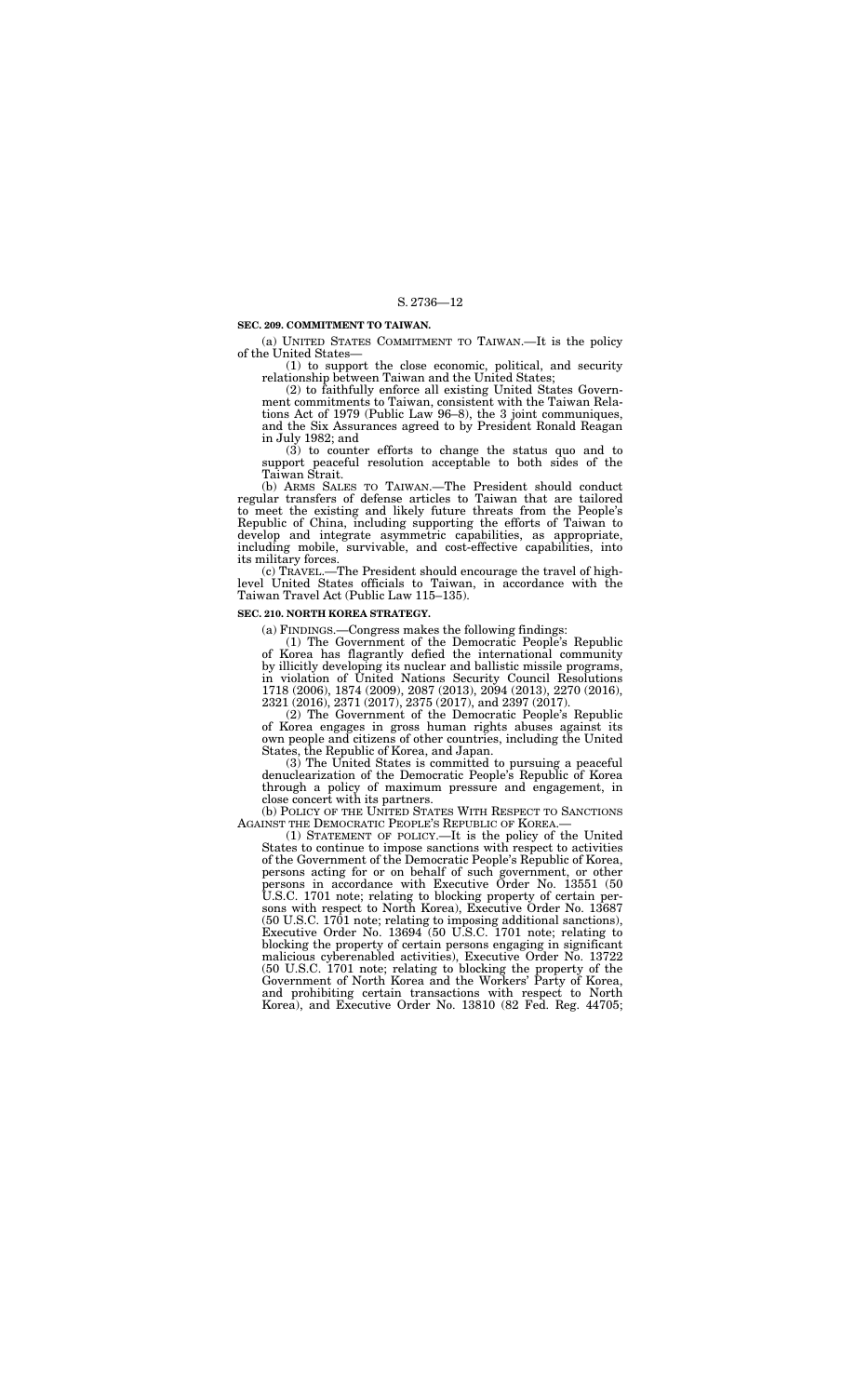#### **SEC. 209. COMMITMENT TO TAIWAN.**

(a) UNITED STATES COMMITMENT TO TAIWAN.—It is the policy of the United States—

(1) to support the close economic, political, and security relationship between Taiwan and the United States;

(2) to faithfully enforce all existing United States Government commitments to Taiwan, consistent with the Taiwan Relations Act of 1979 (Public Law 96–8), the 3 joint communiques, and the Six Assurances agreed to by President Ronald Reagan in July 1982; and

(3) to counter efforts to change the status quo and to support peaceful resolution acceptable to both sides of the Taiwan Strait.

(b) ARMS SALES TO TAIWAN.—The President should conduct regular transfers of defense articles to Taiwan that are tailored to meet the existing and likely future threats from the People's Republic of China, including supporting the efforts of Taiwan to develop and integrate asymmetric capabilities, as appropriate, including mobile, survivable, and cost-effective capabilities, into its military forces.

(b) POLICY OF THE UNITED STATES WITH RESPECT TO SANCTIONS AGAINST THE DEMOCRATIC PEOPLE'S REPUBLIC OF KOREA.—

(c) TRAVEL.—The President should encourage the travel of highlevel United States officials to Taiwan, in accordance with the Taiwan Travel Act (Public Law 115–135).

#### **SEC. 210. NORTH KOREA STRATEGY.**

(a) FINDINGS.—Congress makes the following findings:

(1) The Government of the Democratic People's Republic Korea has flagrantly defied the international community by illicitly developing its nuclear and ballistic missile programs, in violation of United Nations Security Council Resolutions 1718 (2006), 1874 (2009), 2087 (2013), 2094 (2013), 2270 (2016), 2321 (2016), 2371 (2017), 2375 (2017), and 2397 (2017).

(2) The Government of the Democratic People's Republic of Korea engages in gross human rights abuses against its own people and citizens of other countries, including the United States, the Republic of Korea, and Japan.

(3) The United States is committed to pursuing a peaceful denuclearization of the Democratic People's Republic of Korea through a policy of maximum pressure and engagement, in close concert with its partners.

(1) STATEMENT OF POLICY.—It is the policy of the United States to continue to impose sanctions with respect to activities of the Government of the Democratic People's Republic of Korea, persons acting for or on behalf of such government, or other persons in accordance with Executive Order No. 13551 (50 U.S.C. 1701 note; relating to blocking property of certain persons with respect to North Korea), Executive Order No. 13687 (50 U.S.C. 1701 note; relating to imposing additional sanctions), Executive Order No. 13694 (50 U.S.C. 1701 note; relating to blocking the property of certain persons engaging in significant malicious cyberenabled activities), Executive Order No. 13722 (50 U.S.C. 1701 note; relating to blocking the property of the Government of North Korea and the Workers' Party of Korea, and prohibiting certain transactions with respect to North Korea), and Executive Order No. 13810 (82 Fed. Reg. 44705;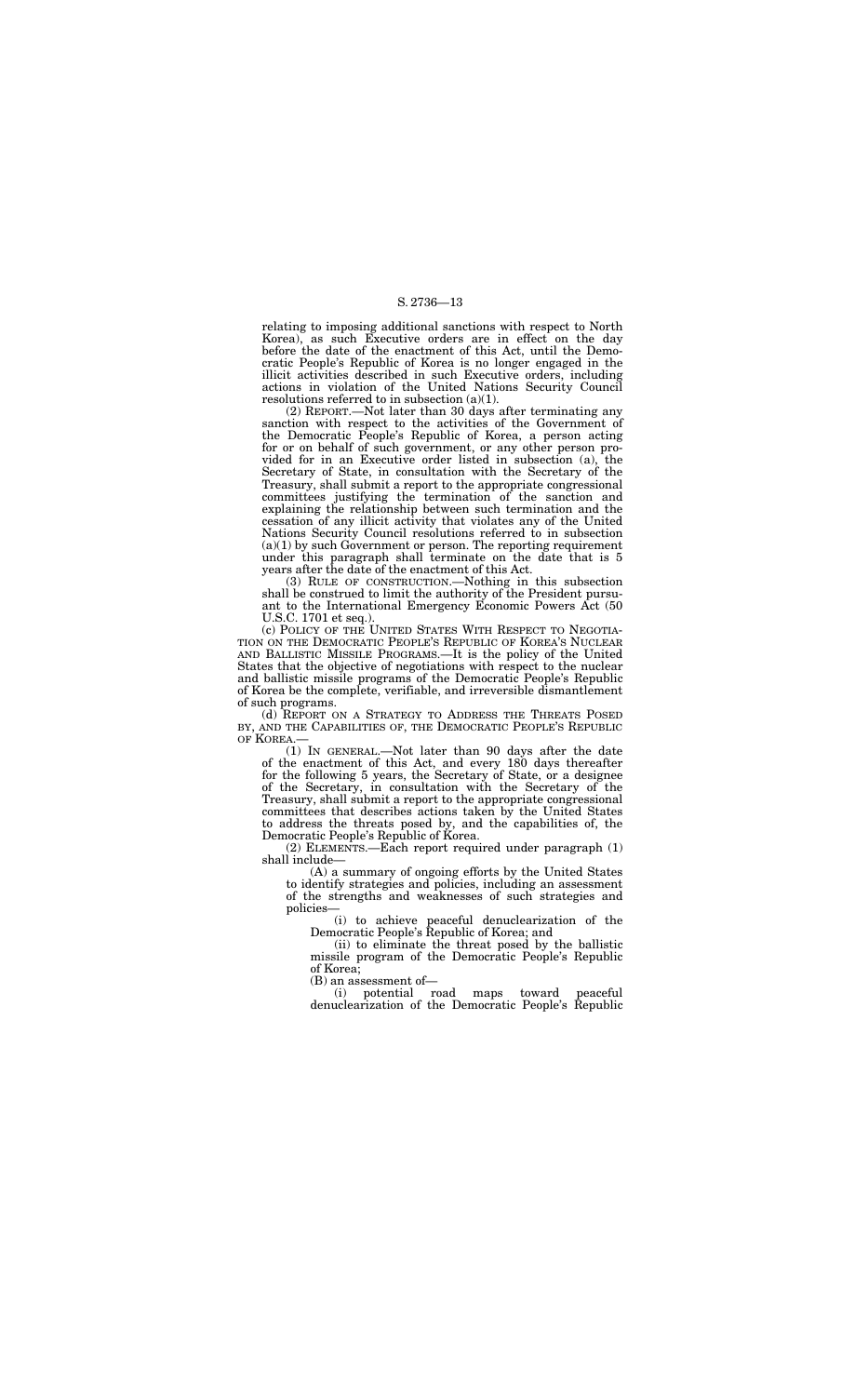relating to imposing additional sanctions with respect to North Korea), as such Executive orders are in effect on the day before the date of the enactment of this Act, until the Democratic People's Republic of Korea is no longer engaged in the illicit activities described in such Executive orders, including actions in violation of the United Nations Security Council resolutions referred to in subsection (a)(1).

(2) REPORT.—Not later than 30 days after terminating any sanction with respect to the activities of the Government of the Democratic People's Republic of Korea, a person acting for or on behalf of such government, or any other person provided for in an Executive order listed in subsection (a), the Secretary of State, in consultation with the Secretary of the Treasury, shall submit a report to the appropriate congressional committees justifying the termination of the sanction and explaining the relationship between such termination and the cessation of any illicit activity that violates any of the United Nations Security Council resolutions referred to in subsection  $(a)(1)$  by such Government or person. The reporting requirement under this paragraph shall terminate on the date that is 5 years after the date of the enactment of this Act.

(d) REPORT ON A STRATEGY TO ADDRESS THE THREATS POSED BY, AND THE CAPABILITIES OF, THE DEMOCRATIC PEOPLE'S REPUBLIC OF KOREA.

(3) RULE OF CONSTRUCTION.—Nothing in this subsection shall be construed to limit the authority of the President pursuant to the International Emergency Economic Powers Act (50 U.S.C. 1701 et seq.).

(c) POLICY OF THE UNITED STATES WITH RESPECT TO NEGOTIA-TION ON THE DEMOCRATIC PEOPLE'S REPUBLIC OF KOREA'S NUCLEAR AND BALLISTIC MISSILE PROGRAMS.—It is the policy of the United States that the objective of negotiations with respect to the nuclear and ballistic missile programs of the Democratic People's Republic of Korea be the complete, verifiable, and irreversible dismantlement of such programs.

(1) IN GENERAL.—Not later than 90 days after the date of the enactment of this Act, and every 180 days thereafter for the following 5 years, the Secretary of State, or a designee of the Secretary, in consultation with the Secretary of the Treasury, shall submit a report to the appropriate congressional committees that describes actions taken by the United States to address the threats posed by, and the capabilities of, the Democratic People's Republic of Korea.

(2) ELEMENTS.—Each report required under paragraph (1) shall include—

(A) a summary of ongoing efforts by the United States to identify strategies and policies, including an assessment of the strengths and weaknesses of such strategies and policies—

(i) to achieve peaceful denuclearization of the Democratic People's Republic of Korea; and

(ii) to eliminate the threat posed by the ballistic missile program of the Democratic People's Republic of Korea;

(B) an assessment of—

(i) potential road maps toward peaceful denuclearization of the Democratic People's Republic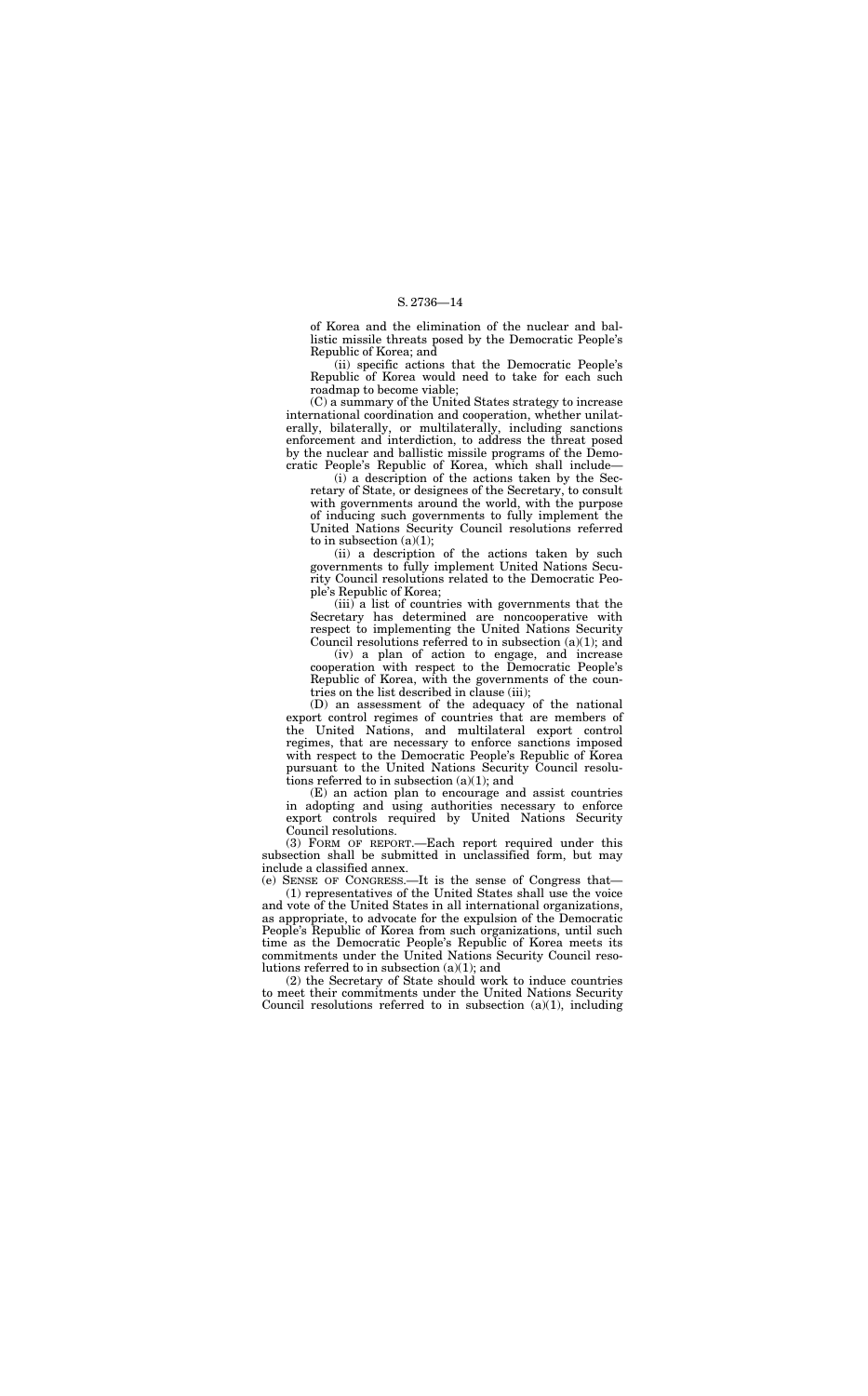of Korea and the elimination of the nuclear and ballistic missile threats posed by the Democratic People's Republic of Korea; and

(ii) specific actions that the Democratic People's Republic of Korea would need to take for each such roadmap to become viable;

(i) a description of the actions taken by the Secretary of State, or designees of the Secretary, to consult with governments around the world, with the purpose of inducing such governments to fully implement the United Nations Security Council resolutions referred to in subsection  $(a)(1)$ ;

(C) a summary of the United States strategy to increase international coordination and cooperation, whether unilaterally, bilaterally, or multilaterally, including sanctions enforcement and interdiction, to address the threat posed by the nuclear and ballistic missile programs of the Democratic People's Republic of Korea, which shall include—

(iii) a list of countries with governments that the Secretary has determined are noncooperative with respect to implementing the United Nations Security Council resolutions referred to in subsection  $(a)(1)$ ; and

(D) an assessment of the adequacy of the national export control regimes of countries that are members of the United Nations, and multilateral export control regimes, that are necessary to enforce sanctions imposed with respect to the Democratic People's Republic of Korea pursuant to the United Nations Security Council resolutions referred to in subsection  $(a)(1)$ ; and

(ii) a description of the actions taken by such governments to fully implement United Nations Security Council resolutions related to the Democratic People's Republic of Korea;

(2) the Secretary of State should work to induce countries to meet their commitments under the United Nations Security Council resolutions referred to in subsection  $(a)(1)$ , including

(iv) a plan of action to engage, and increase cooperation with respect to the Democratic People's Republic of Korea, with the governments of the countries on the list described in clause (iii);

(E) an action plan to encourage and assist countries in adopting and using authorities necessary to enforce export controls required by United Nations Security Council resolutions.

(3) FORM OF REPORT.—Each report required under this subsection shall be submitted in unclassified form, but may include a classified annex.

(e) SENSE OF CONGRESS.—It is the sense of Congress that— (1) representatives of the United States shall use the voice and vote of the United States in all international organizations, as appropriate, to advocate for the expulsion of the Democratic People's Republic of Korea from such organizations, until such time as the Democratic People's Republic of Korea meets its commitments under the United Nations Security Council resolutions referred to in subsection (a)(1); and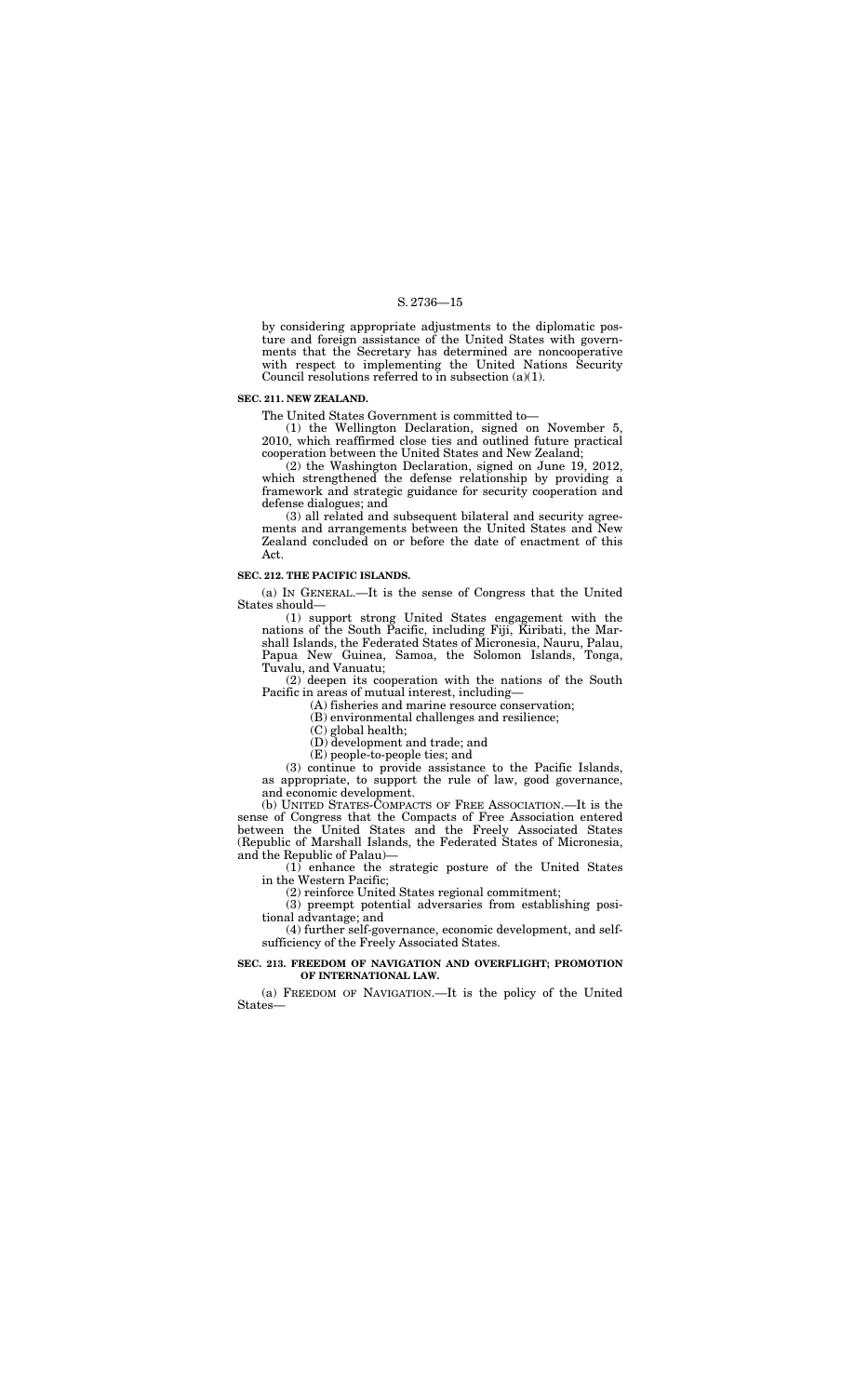by considering appropriate adjustments to the diplomatic posture and foreign assistance of the United States with governments that the Secretary has determined are noncooperative with respect to implementing the United Nations Security Council resolutions referred to in subsection  $(a)(1)$ .

#### **SEC. 211. NEW ZEALAND.**

The United States Government is committed to—

(1) the Wellington Declaration, signed on November 5, 2010, which reaffirmed close ties and outlined future practical cooperation between the United States and New Zealand;

(2) the Washington Declaration, signed on June 19, 2012, which strengthened the defense relationship by providing a framework and strategic guidance for security cooperation and defense dialogues; and

(3) all related and subsequent bilateral and security agreements and arrangements between the United States and New Zealand concluded on or before the date of enactment of this Act.

### **SEC. 212. THE PACIFIC ISLANDS.**

(a) IN GENERAL.—It is the sense of Congress that the United States should—

(1) support strong United States engagement with the nations of the South Pacific, including Fiji, Kiribati, the Marshall Islands, the Federated States of Micronesia, Nauru, Palau, Papua New Guinea, Samoa, the Solomon Islands, Tonga, Tuvalu, and Vanuatu;

(2) deepen its cooperation with the nations of the South Pacific in areas of mutual interest, including—

(A) fisheries and marine resource conservation;

(B) environmental challenges and resilience;

(C) global health;

(D) development and trade; and

(E) people-to-people ties; and

(3) continue to provide assistance to the Pacific Islands, as appropriate, to support the rule of law, good governance, and economic development.

(b) UNITED STATES-COMPACTS OF FREE ASSOCIATION.—It is the sense of Congress that the Compacts of Free Association entered between the United States and the Freely Associated States (Republic of Marshall Islands, the Federated States of Micronesia, and the Republic of Palau)—

(1) enhance the strategic posture of the United States in the Western Pacific;

(2) reinforce United States regional commitment;

(3) preempt potential adversaries from establishing positional advantage; and

(4) further self-governance, economic development, and selfsufficiency of the Freely Associated States.

#### **SEC. 213. FREEDOM OF NAVIGATION AND OVERFLIGHT; PROMOTION OF INTERNATIONAL LAW.**

(a) FREEDOM OF NAVIGATION.—It is the policy of the United States—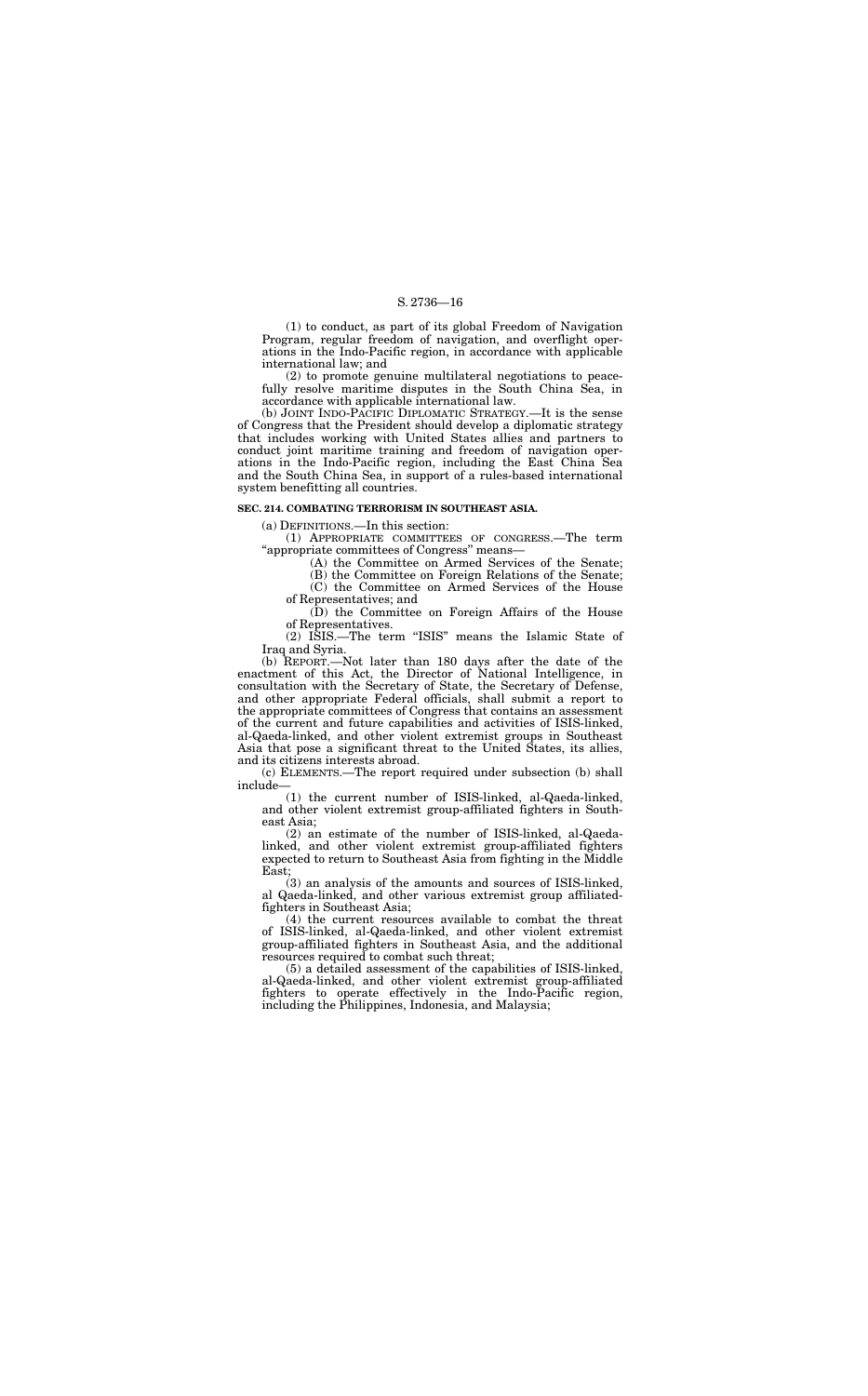(1) to conduct, as part of its global Freedom of Navigation Program, regular freedom of navigation, and overflight operations in the Indo-Pacific region, in accordance with applicable international law; and

(2) to promote genuine multilateral negotiations to peacefully resolve maritime disputes in the South China Sea, in accordance with applicable international law.

(b) JOINT INDO-PACIFIC DIPLOMATIC STRATEGY.—It is the sense of Congress that the President should develop a diplomatic strategy that includes working with United States allies and partners to conduct joint maritime training and freedom of navigation operations in the Indo-Pacific region, including the East China Sea and the South China Sea, in support of a rules-based international system benefitting all countries.

#### **SEC. 214. COMBATING TERRORISM IN SOUTHEAST ASIA.**

(a) DEFINITIONS.—In this section:

(1) APPROPRIATE COMMITTEES OF CONGRESS.—The term ''appropriate committees of Congress'' means—

(A) the Committee on Armed Services of the Senate;

(B) the Committee on Foreign Relations of the Senate; (C) the Committee on Armed Services of the House

of Representatives; and (D) the Committee on Foreign Affairs of the House

of Representatives. (2) ISIS.—The term ''ISIS'' means the Islamic State of Iraq and Syria.

(b) REPORT.—Not later than 180 days after the date of the enactment of this Act, the Director of National Intelligence, in consultation with the Secretary of State, the Secretary of Defense, and other appropriate Federal officials, shall submit a report to the appropriate committees of Congress that contains an assessment of the current and future capabilities and activities of ISIS-linked, al-Qaeda-linked, and other violent extremist groups in Southeast Asia that pose a significant threat to the United States, its allies, and its citizens interests abroad.

(c) ELEMENTS.—The report required under subsection (b) shall include—

(1) the current number of ISIS-linked, al-Qaeda-linked, and other violent extremist group-affiliated fighters in Southeast Asia;

(2) an estimate of the number of ISIS-linked, al-Qaedalinked, and other violent extremist group-affiliated fighters expected to return to Southeast Asia from fighting in the Middle East;

(3) an analysis of the amounts and sources of ISIS-linked, al Qaeda-linked, and other various extremist group affiliatedfighters in Southeast Asia;

(4) the current resources available to combat the threat of ISIS-linked, al-Qaeda-linked, and other violent extremist group-affiliated fighters in Southeast Asia, and the additional resources required to combat such threat;

(5) a detailed assessment of the capabilities of ISIS-linked, al-Qaeda-linked, and other violent extremist group-affiliated fighters to operate effectively in the Indo-Pacific region, including the Philippines, Indonesia, and Malaysia;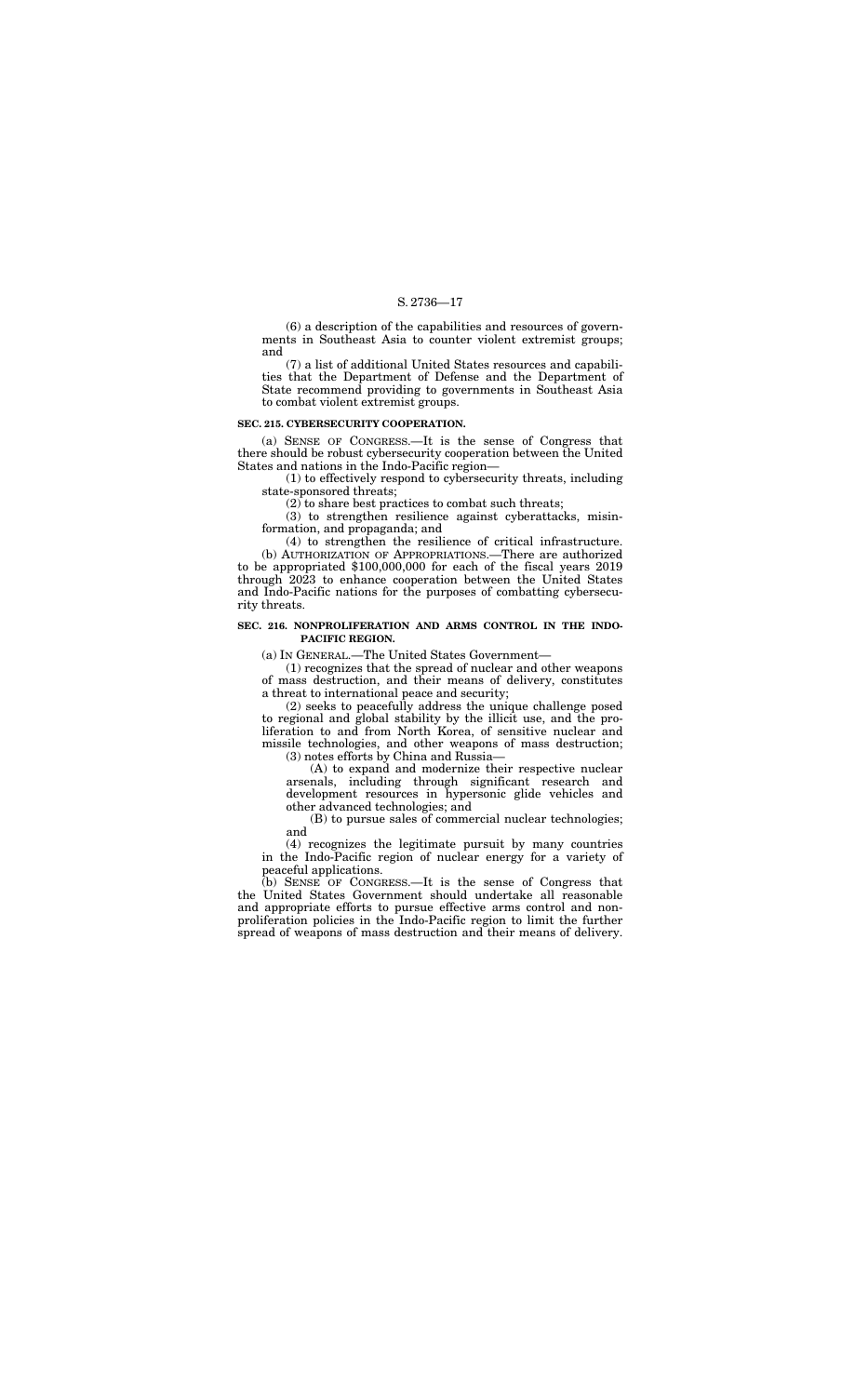(6) a description of the capabilities and resources of governments in Southeast Asia to counter violent extremist groups; and

(7) a list of additional United States resources and capabilities that the Department of Defense and the Department of State recommend providing to governments in Southeast Asia to combat violent extremist groups.

#### **SEC. 215. CYBERSECURITY COOPERATION.**

(a) SENSE OF CONGRESS.—It is the sense of Congress that there should be robust cybersecurity cooperation between the United States and nations in the Indo-Pacific region—

(1) to effectively respond to cybersecurity threats, including state-sponsored threats;

(2) to share best practices to combat such threats;

(3) to strengthen resilience against cyberattacks, misinformation, and propaganda; and

(4) to strengthen the resilience of critical infrastructure. (b) AUTHORIZATION OF APPROPRIATIONS.—There are authorized to be appropriated \$100,000,000 for each of the fiscal years 2019 through 2023 to enhance cooperation between the United States and Indo-Pacific nations for the purposes of combatting cybersecurity threats.

#### **SEC. 216. NONPROLIFERATION AND ARMS CONTROL IN THE INDO-PACIFIC REGION.**

(a) IN GENERAL.—The United States Government—

(1) recognizes that the spread of nuclear and other weapons of mass destruction, and their means of delivery, constitutes a threat to international peace and security;

(2) seeks to peacefully address the unique challenge posed to regional and global stability by the illicit use, and the proliferation to and from North Korea, of sensitive nuclear and missile technologies, and other weapons of mass destruction; (3) notes efforts by China and Russia—

(A) to expand and modernize their respective nuclear arsenals, including through significant research and development resources in hypersonic glide vehicles and other advanced technologies; and

(B) to pursue sales of commercial nuclear technologies; and

(4) recognizes the legitimate pursuit by many countries in the Indo-Pacific region of nuclear energy for a variety of peaceful applications.

(b) SENSE OF CONGRESS.—It is the sense of Congress that the United States Government should undertake all reasonable and appropriate efforts to pursue effective arms control and nonproliferation policies in the Indo-Pacific region to limit the further spread of weapons of mass destruction and their means of delivery.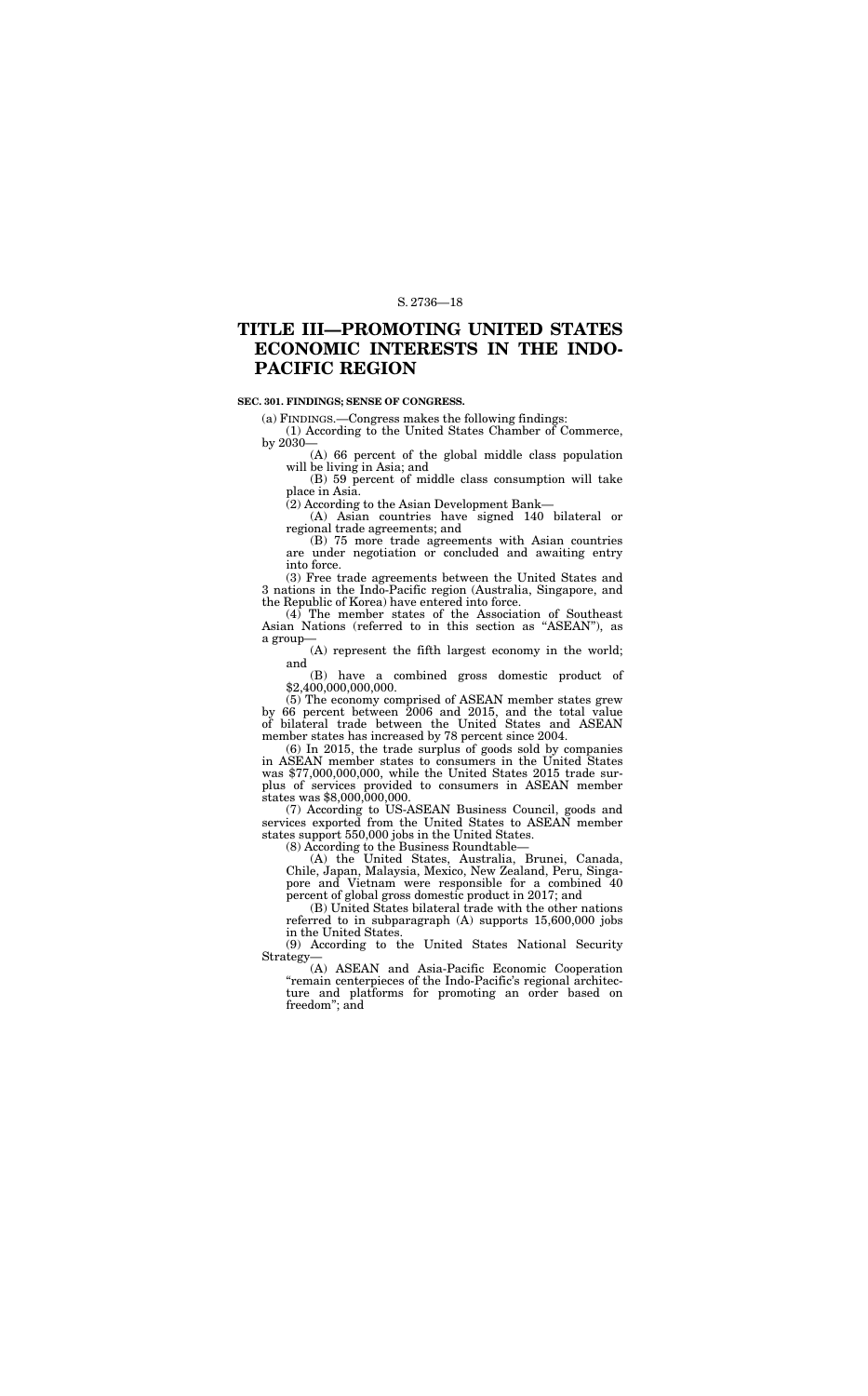## **TITLE III—PROMOTING UNITED STATES ECONOMIC INTERESTS IN THE INDO-PACIFIC REGION**

#### **SEC. 301. FINDINGS; SENSE OF CONGRESS.**

(a) FINDINGS.—Congress makes the following findings:

(1) According to the United States Chamber of Commerce, by 2030—

(A) 66 percent of the global middle class population will be living in Asia; and

(B) 59 percent of middle class consumption will take place in Asia.

(2) According to the Asian Development Bank—

(A) Asian countries have signed 140 bilateral or regional trade agreements; and

(B) 75 more trade agreements with Asian countries are under negotiation or concluded and awaiting entry into force.

(3) Free trade agreements between the United States and 3 nations in the Indo-Pacific region (Australia, Singapore, and the Republic of Korea) have entered into force.

(4) The member states of the Association of Southeast Asian Nations (referred to in this section as ''ASEAN''), as a group—

(A) represent the fifth largest economy in the world; and

(B) have a combined gross domestic product of \$2,400,000,000,000.

(5) The economy comprised of ASEAN member states grew by 66 percent between 2006 and 2015, and the total value of bilateral trade between the United States and ASEAN member states has increased by 78 percent since 2004.

(6) In 2015, the trade surplus of goods sold by companies in ASEAN member states to consumers in the United States was \$77,000,000,000, while the United States 2015 trade surplus of services provided to consumers in ASEAN member states was \$8,000,000,000.

(7) According to US-ASEAN Business Council, goods and services exported from the United States to ASEAN member states support 550,000 jobs in the United States.

(8) According to the Business Roundtable—

(A) the United States, Australia, Brunei, Canada, Chile, Japan, Malaysia, Mexico, New Zealand, Peru, Singapore and Vietnam were responsible for a combined 40 percent of global gross domestic product in 2017; and

(B) United States bilateral trade with the other nations referred to in subparagraph (A) supports 15,600,000 jobs in the United States.

(9) According to the United States National Security Strategy—

(A) ASEAN and Asia-Pacific Economic Cooperation "remain centerpieces of the Indo-Pacific's regional architecture and platforms for promoting an order based on freedom''; and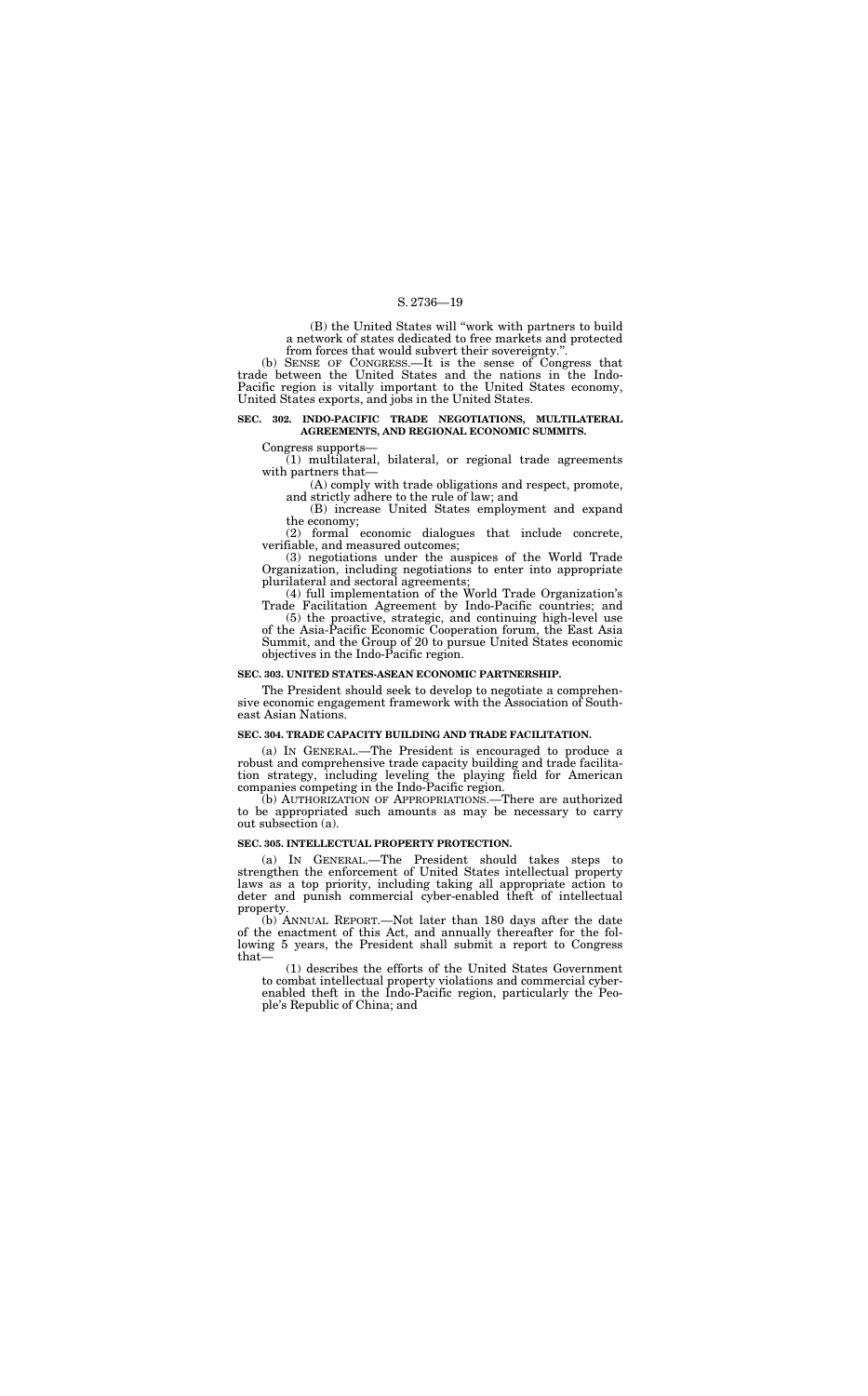(B) the United States will ''work with partners to build a network of states dedicated to free markets and protected from forces that would subvert their sovereignty.''.

(b) SENSE OF CONGRESS.—It is the sense of Congress that trade between the United States and the nations in the Indo-Pacific region is vitally important to the United States economy, United States exports, and jobs in the United States.

#### **SEC. 302. INDO-PACIFIC TRADE NEGOTIATIONS, MULTILATERAL AGREEMENTS, AND REGIONAL ECONOMIC SUMMITS.**

Congress supports—

(1) multilateral, bilateral, or regional trade agreements with partners that—

(A) comply with trade obligations and respect, promote, and strictly adhere to the rule of law; and

(B) increase United States employment and expand the economy;

(2) formal economic dialogues that include concrete, verifiable, and measured outcomes;

(3) negotiations under the auspices of the World Trade Organization, including negotiations to enter into appropriate plurilateral and sectoral agreements;

(4) full implementation of the World Trade Organization's Trade Facilitation Agreement by Indo-Pacific countries; and

(5) the proactive, strategic, and continuing high-level use of the Asia-Pacific Economic Cooperation forum, the East Asia Summit, and the Group of 20 to pursue United States economic objectives in the Indo-Pacific region.

#### **SEC. 303. UNITED STATES-ASEAN ECONOMIC PARTNERSHIP.**

The President should seek to develop to negotiate a comprehensive economic engagement framework with the Association of Southeast Asian Nations.

#### **SEC. 304. TRADE CAPACITY BUILDING AND TRADE FACILITATION.**

(a) IN GENERAL.—The President is encouraged to produce a robust and comprehensive trade capacity building and trade facilitation strategy, including leveling the playing field for American companies competing in the Indo-Pacific region.

(b) AUTHORIZATION OF APPROPRIATIONS.—There are authorized to be appropriated such amounts as may be necessary to carry out subsection (a).

#### **SEC. 305. INTELLECTUAL PROPERTY PROTECTION.**

(a) IN GENERAL.—The President should takes steps to strengthen the enforcement of United States intellectual property laws as a top priority, including taking all appropriate action to deter and punish commercial cyber-enabled theft of intellectual property.

(b) ANNUAL REPORT.—Not later than 180 days after the date of the enactment of this Act, and annually thereafter for the following 5 years, the President shall submit a report to Congress that—

(1) describes the efforts of the United States Government to combat intellectual property violations and commercial cyberenabled theft in the Indo-Pacific region, particularly the People's Republic of China; and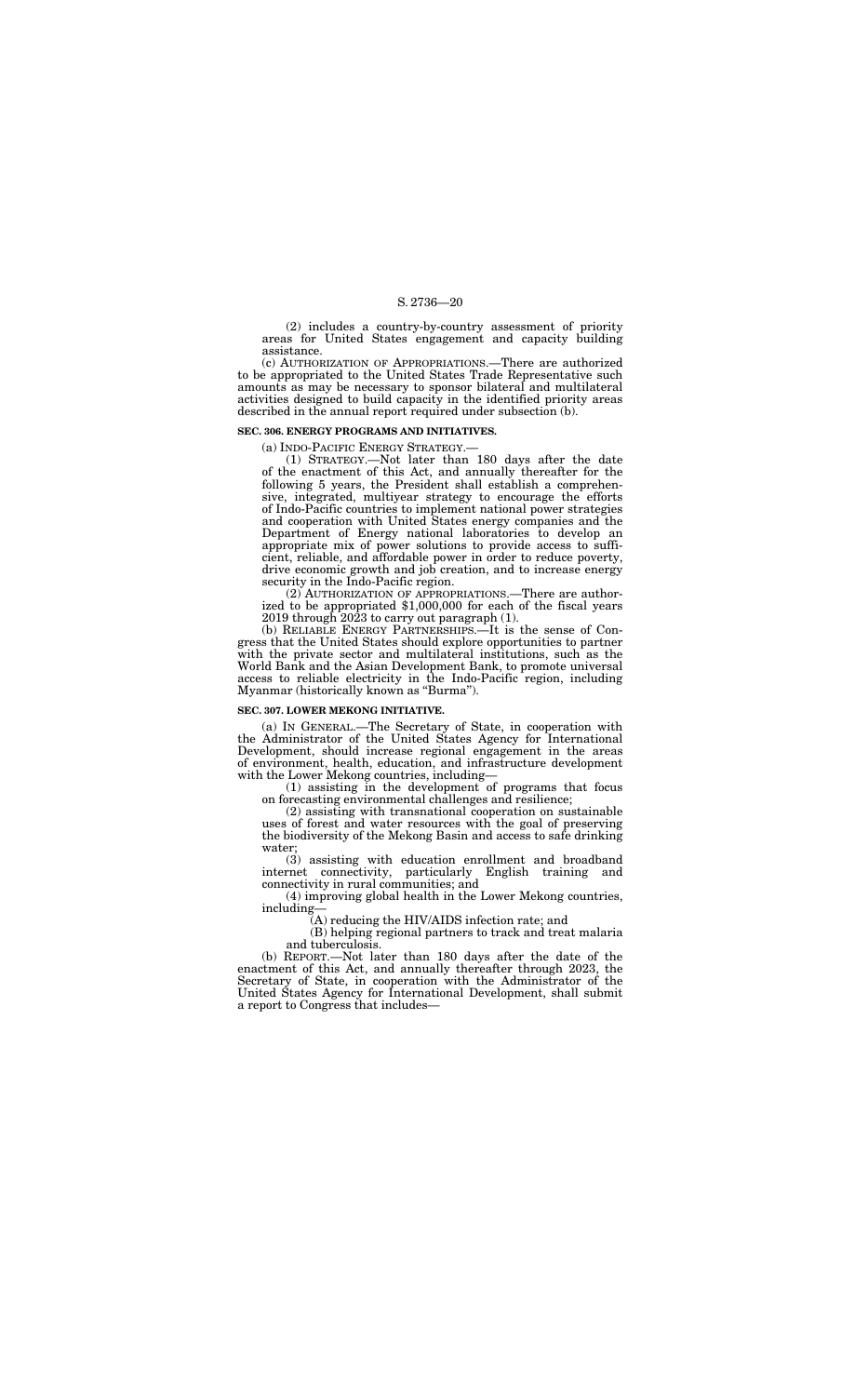(2) includes a country-by-country assessment of priority areas for United States engagement and capacity building assistance.

(c) AUTHORIZATION OF APPROPRIATIONS.—There are authorized to be appropriated to the United States Trade Representative such amounts as may be necessary to sponsor bilateral and multilateral activities designed to build capacity in the identified priority areas described in the annual report required under subsection (b).

#### **SEC. 306. ENERGY PROGRAMS AND INITIATIVES.**

(a) INDO-PACIFIC ENERGY STRATEGY.—

(1) STRATEGY.—Not later than 180 days after the date of the enactment of this Act, and annually thereafter for the following 5 years, the President shall establish a comprehensive, integrated, multiyear strategy to encourage the efforts of Indo-Pacific countries to implement national power strategies and cooperation with United States energy companies and the Department of Energy national laboratories to develop an appropriate mix of power solutions to provide access to sufficient, reliable, and affordable power in order to reduce poverty, drive economic growth and job creation, and to increase energy security in the Indo-Pacific region.

(2) AUTHORIZATION OF APPROPRIATIONS.—There are authorized to be appropriated \$1,000,000 for each of the fiscal years 2019 through 2023 to carry out paragraph (1).

(b) RELIABLE ENERGY PARTNERSHIPS.—It is the sense of Congress that the United States should explore opportunities to partner with the private sector and multilateral institutions, such as the World Bank and the Asian Development Bank, to promote universal access to reliable electricity in the Indo-Pacific region, including Myanmar (historically known as ''Burma'').

#### **SEC. 307. LOWER MEKONG INITIATIVE.**

(a) IN GENERAL.—The Secretary of State, in cooperation with the Administrator of the United States Agency for International Development, should increase regional engagement in the areas of environment, health, education, and infrastructure development with the Lower Mekong countries, including—

(1) assisting in the development of programs that focus on forecasting environmental challenges and resilience;

(2) assisting with transnational cooperation on sustainable uses of forest and water resources with the goal of preserving the biodiversity of the Mekong Basin and access to safe drinking water;

(3) assisting with education enrollment and broadband internet connectivity, particularly English training and connectivity in rural communities; and

(4) improving global health in the Lower Mekong countries, including—

(A) reducing the HIV/AIDS infection rate; and

(B) helping regional partners to track and treat malaria and tuberculosis.

(b) REPORT.—Not later than 180 days after the date of the enactment of this Act, and annually thereafter through 2023, the Secretary of State, in cooperation with the Administrator of the United States Agency for International Development, shall submit a report to Congress that includes—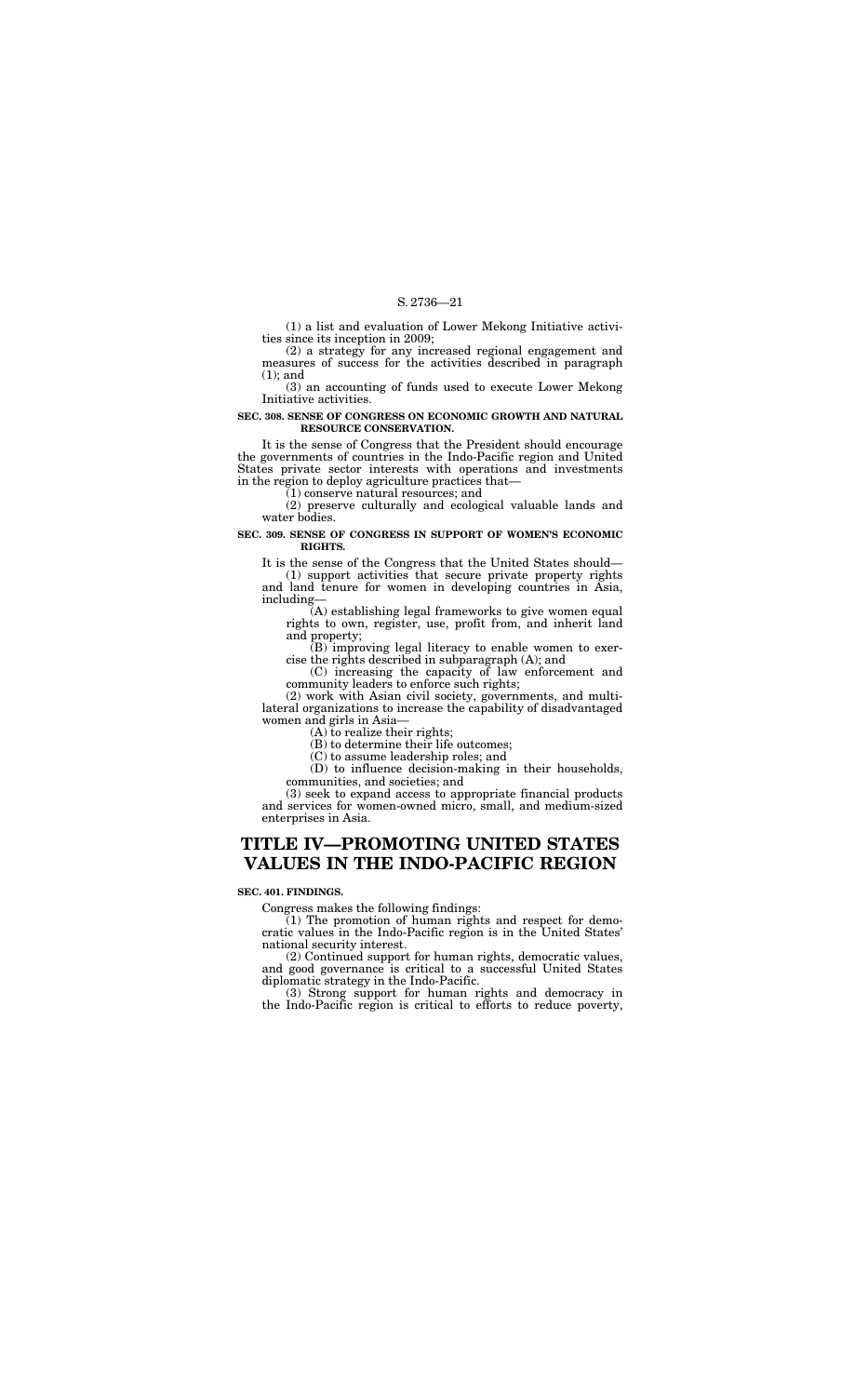(1) a list and evaluation of Lower Mekong Initiative activities since its inception in 2009;

(2) a strategy for any increased regional engagement and measures of success for the activities described in paragraph (1); and

(3) an accounting of funds used to execute Lower Mekong Initiative activities.

#### **SEC. 308. SENSE OF CONGRESS ON ECONOMIC GROWTH AND NATURAL RESOURCE CONSERVATION.**

It is the sense of Congress that the President should encourage the governments of countries in the Indo-Pacific region and United States private sector interests with operations and investments in the region to deploy agriculture practices that—

(1) conserve natural resources; and

(2) preserve culturally and ecological valuable lands and water bodies.

#### **SEC. 309. SENSE OF CONGRESS IN SUPPORT OF WOMEN'S ECONOMIC RIGHTS.**

It is the sense of the Congress that the United States should—

(1) support activities that secure private property rights and land tenure for women in developing countries in Asia, including—

 $(1)$  The promotion of human rights and respect for democratic values in the Indo-Pacific region is in the United States' national security interest.

(A) establishing legal frameworks to give women equal rights to own, register, use, profit from, and inherit land and property;

(B) improving legal literacy to enable women to exercise the rights described in subparagraph (A); and

(C) increasing the capacity of law enforcement and community leaders to enforce such rights;

(2) work with Asian civil society, governments, and multilateral organizations to increase the capability of disadvantaged women and girls in Asia—

(A) to realize their rights;

(B) to determine their life outcomes;

(C) to assume leadership roles; and

(D) to influence decision-making in their households, communities, and societies; and

(3) seek to expand access to appropriate financial products and services for women-owned micro, small, and medium-sized enterprises in Asia.

## **TITLE IV—PROMOTING UNITED STATES VALUES IN THE INDO-PACIFIC REGION**

#### **SEC. 401. FINDINGS.**

Congress makes the following findings:

(2) Continued support for human rights, democratic values, and good governance is critical to a successful United States diplomatic strategy in the Indo-Pacific.

(3) Strong support for human rights and democracy in the Indo-Pacific region is critical to efforts to reduce poverty,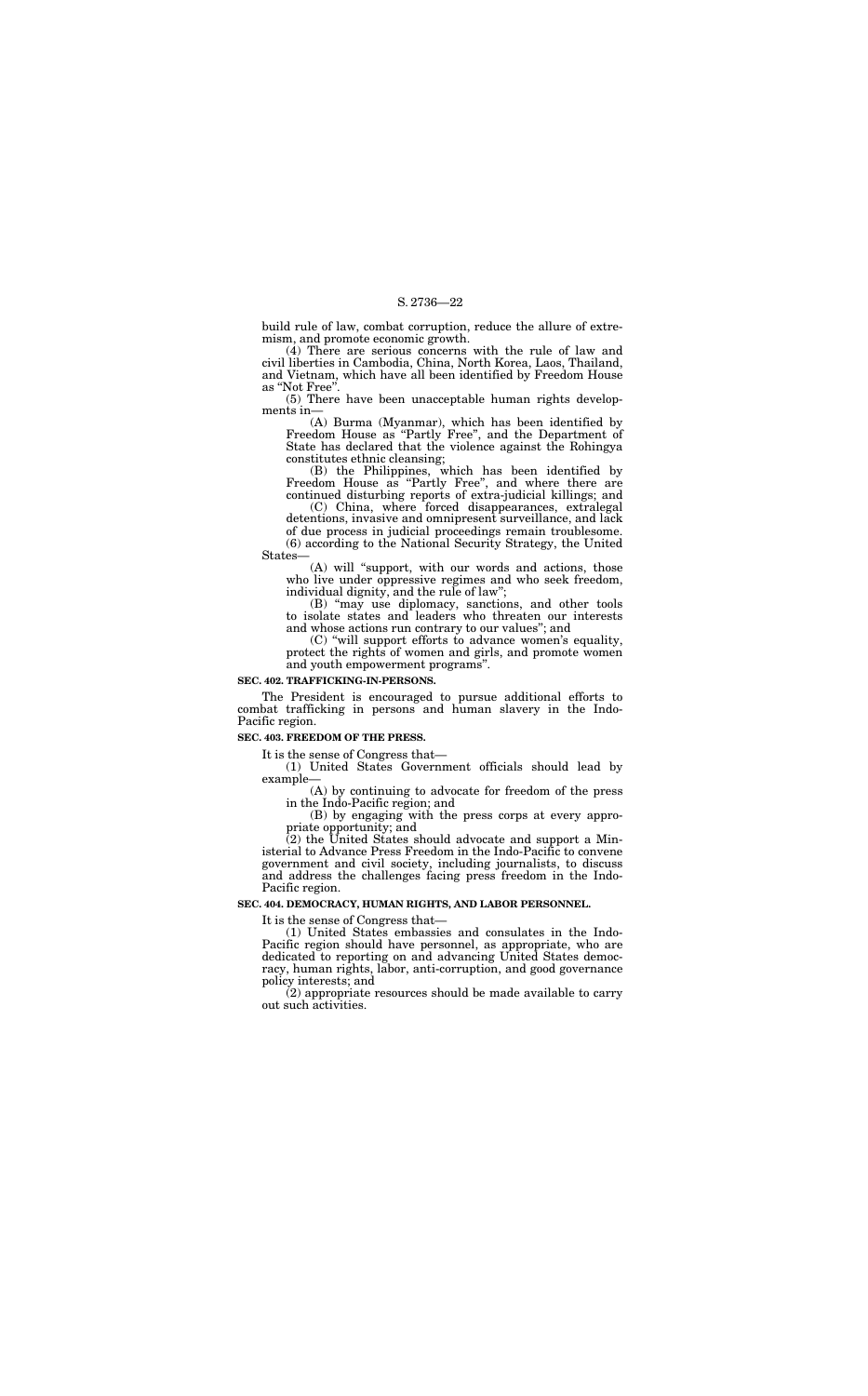(4) There are serious concerns with the rule of law and civil liberties in Cambodia, China, North Korea, Laos, Thailand, and Vietnam, which have all been identified by Freedom House as "Not Free"

build rule of law, combat corruption, reduce the allure of extremism, and promote economic growth.

(5) There have been unacceptable human rights developments in—

(A) Burma (Myanmar), which has been identified by Freedom House as ''Partly Free'', and the Department of State has declared that the violence against the Rohingya constitutes ethnic cleansing;

(B) the Philippines, which has been identified by Freedom House as ''Partly Free'', and where there are continued disturbing reports of extra-judicial killings; and

(C) China, where forced disappearances, extralegal detentions, invasive and omnipresent surveillance, and lack of due process in judicial proceedings remain troublesome. (6) according to the National Security Strategy, the United States—

(A) will ''support, with our words and actions, those who live under oppressive regimes and who seek freedom, individual dignity, and the rule of law'';

 $(2)$  the United States should advocate and support a Ministerial to Advance Press Freedom in the Indo-Pacific to convene government and civil society, including journalists, to discuss and address the challenges facing press freedom in the Indo-Pacific region.

(B) ''may use diplomacy, sanctions, and other tools to isolate states and leaders who threaten our interests and whose actions run contrary to our values''; and

(C) ''will support efforts to advance women's equality, protect the rights of women and girls, and promote women and youth empowerment programs''.

#### **SEC. 402. TRAFFICKING-IN-PERSONS.**

The President is encouraged to pursue additional efforts to combat trafficking in persons and human slavery in the Indo-Pacific region.

## **SEC. 403. FREEDOM OF THE PRESS.**

It is the sense of Congress that—

(1) United States Government officials should lead by example—

(A) by continuing to advocate for freedom of the press in the Indo-Pacific region; and

(B) by engaging with the press corps at every appropriate opportunity; and

#### **SEC. 404. DEMOCRACY, HUMAN RIGHTS, AND LABOR PERSONNEL.**

It is the sense of Congress that—

(1) United States embassies and consulates in the Indo-Pacific region should have personnel, as appropriate, who are dedicated to reporting on and advancing United States democracy, human rights, labor, anti-corruption, and good governance policy interests; and

(2) appropriate resources should be made available to carry out such activities.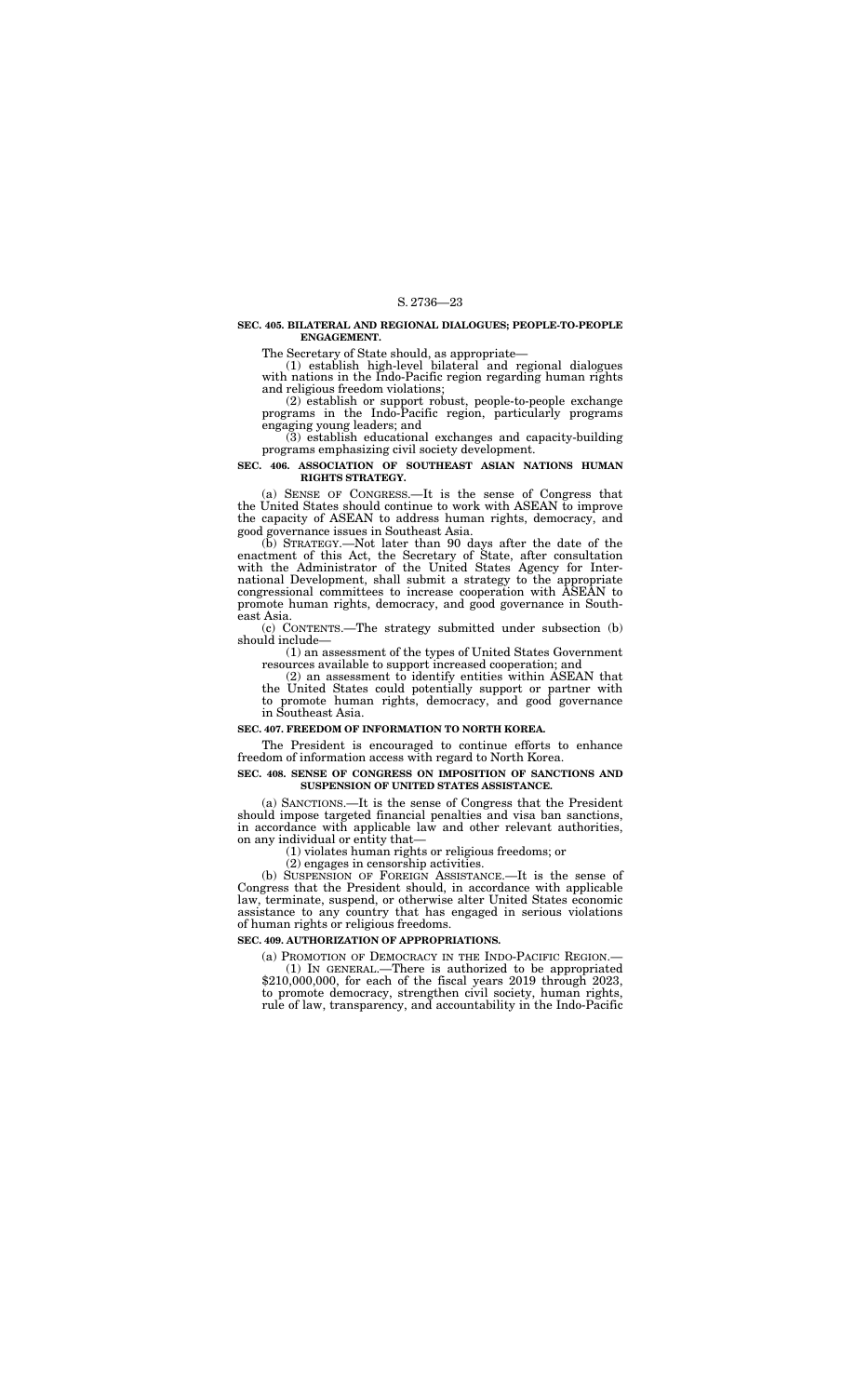#### **SEC. 405. BILATERAL AND REGIONAL DIALOGUES; PEOPLE-TO-PEOPLE ENGAGEMENT.**

The Secretary of State should, as appropriate—

(1) establish high-level bilateral and regional dialogues with nations in the Indo-Pacific region regarding human rights and religious freedom violations;

(2) establish or support robust, people-to-people exchange programs in the Indo-Pacific region, particularly programs engaging young leaders; and

(3) establish educational exchanges and capacity-building programs emphasizing civil society development.

#### **SEC. 406. ASSOCIATION OF SOUTHEAST ASIAN NATIONS HUMAN RIGHTS STRATEGY.**

(a) SENSE OF CONGRESS.—It is the sense of Congress that the United States should continue to work with ASEAN to improve the capacity of ASEAN to address human rights, democracy, and good governance issues in Southeast Asia.

(b) STRATEGY.—Not later than 90 days after the date of the enactment of this Act, the Secretary of State, after consultation with the Administrator of the United States Agency for International Development, shall submit a strategy to the appropriate congressional committees to increase cooperation with ASEAN to promote human rights, democracy, and good governance in Southeast Asia.

(c) CONTENTS.—The strategy submitted under subsection (b) should include—

(1) an assessment of the types of United States Government resources available to support increased cooperation; and

(2) an assessment to identify entities within ASEAN that the United States could potentially support or partner with to promote human rights, democracy, and good governance in Southeast Asia.

#### **SEC. 407. FREEDOM OF INFORMATION TO NORTH KOREA.**

The President is encouraged to continue efforts to enhance freedom of information access with regard to North Korea.

#### **SEC. 408. SENSE OF CONGRESS ON IMPOSITION OF SANCTIONS AND SUSPENSION OF UNITED STATES ASSISTANCE.**

(a) SANCTIONS.—It is the sense of Congress that the President should impose targeted financial penalties and visa ban sanctions, in accordance with applicable law and other relevant authorities, on any individual or entity that—

(1) violates human rights or religious freedoms; or

(2) engages in censorship activities.

(b) SUSPENSION OF FOREIGN ASSISTANCE.—It is the sense of Congress that the President should, in accordance with applicable law, terminate, suspend, or otherwise alter United States economic assistance to any country that has engaged in serious violations of human rights or religious freedoms.

#### **SEC. 409. AUTHORIZATION OF APPROPRIATIONS.**

(a) PROMOTION OF DEMOCRACY IN THE INDO-PACIFIC REGION.— (1) IN GENERAL.—There is authorized to be appropriated \$210,000,000, for each of the fiscal years 2019 through 2023, to promote democracy, strengthen civil society, human rights, rule of law, transparency, and accountability in the Indo-Pacific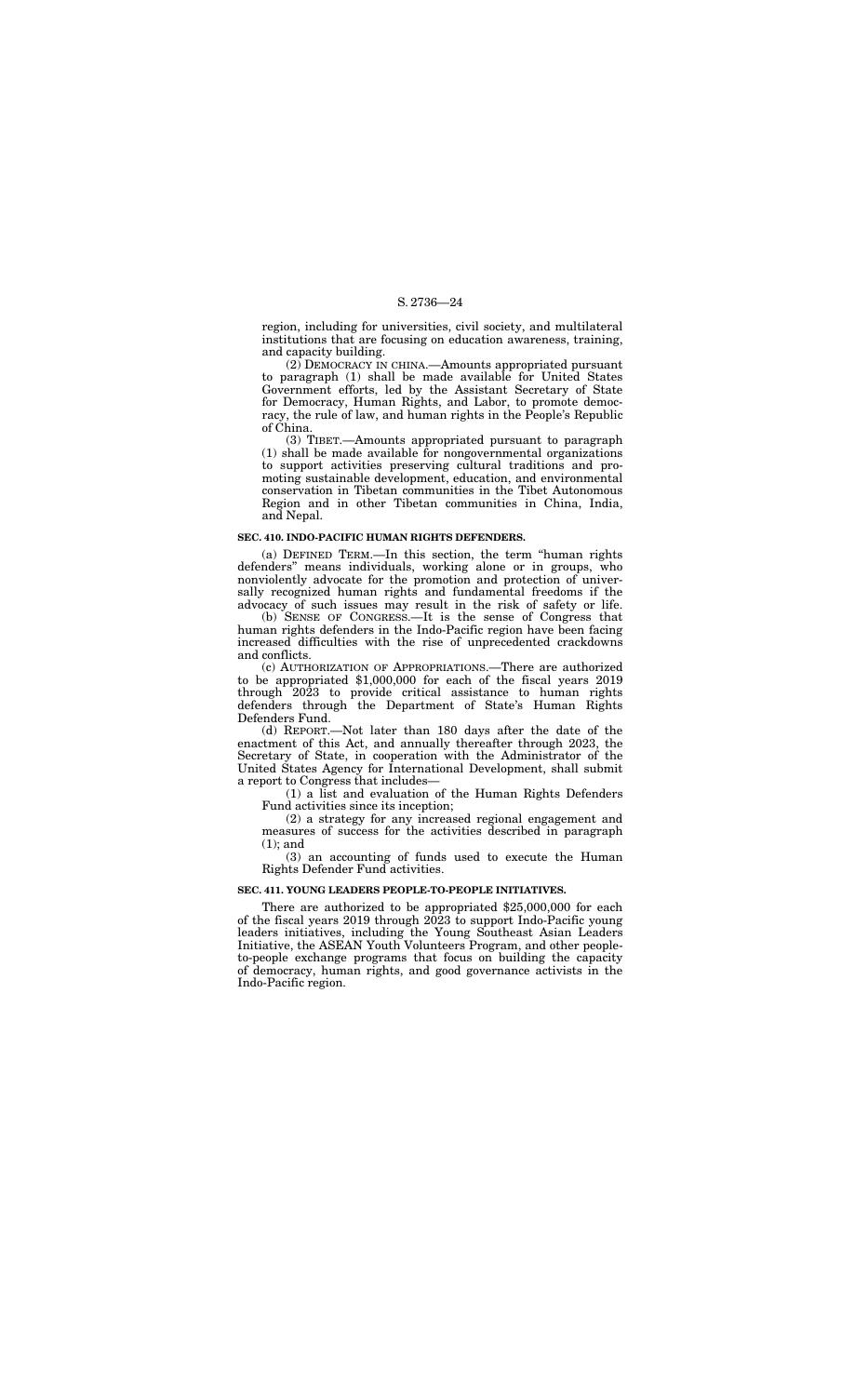region, including for universities, civil society, and multilateral institutions that are focusing on education awareness, training, and capacity building.

(2) DEMOCRACY IN CHINA.—Amounts appropriated pursuant to paragraph (1) shall be made available for United States Government efforts, led by the Assistant Secretary of State for Democracy, Human Rights, and Labor, to promote democracy, the rule of law, and human rights in the People's Republic of China.

(3) TIBET.—Amounts appropriated pursuant to paragraph (1) shall be made available for nongovernmental organizations to support activities preserving cultural traditions and promoting sustainable development, education, and environmental conservation in Tibetan communities in the Tibet Autonomous Region and in other Tibetan communities in China, India, and Nepal.

#### **SEC. 410. INDO-PACIFIC HUMAN RIGHTS DEFENDERS.**

(a) DEFINED TERM.—In this section, the term ''human rights defenders'' means individuals, working alone or in groups, who nonviolently advocate for the promotion and protection of universally recognized human rights and fundamental freedoms if the advocacy of such issues may result in the risk of safety or life.

(b) SENSE OF CONGRESS.—It is the sense of Congress that human rights defenders in the Indo-Pacific region have been facing increased difficulties with the rise of unprecedented crackdowns and conflicts.

(c) AUTHORIZATION OF APPROPRIATIONS.—There are authorized to be appropriated \$1,000,000 for each of the fiscal years 2019 through 2023 to provide critical assistance to human rights defenders through the Department of State's Human Rights Defenders Fund.

(d) REPORT.—Not later than 180 days after the date of the enactment of this Act, and annually thereafter through 2023, the Secretary of State, in cooperation with the Administrator of the United States Agency for International Development, shall submit a report to Congress that includes—

(1) a list and evaluation of the Human Rights Defenders Fund activities since its inception;

(2) a strategy for any increased regional engagement and measures of success for the activities described in paragraph (1); and

(3) an accounting of funds used to execute the Human Rights Defender Fund activities.

#### **SEC. 411. YOUNG LEADERS PEOPLE-TO-PEOPLE INITIATIVES.**

There are authorized to be appropriated \$25,000,000 for each of the fiscal years 2019 through 2023 to support Indo-Pacific young leaders initiatives, including the Young Southeast Asian Leaders Initiative, the ASEAN Youth Volunteers Program, and other peopleto-people exchange programs that focus on building the capacity of democracy, human rights, and good governance activists in the Indo-Pacific region.